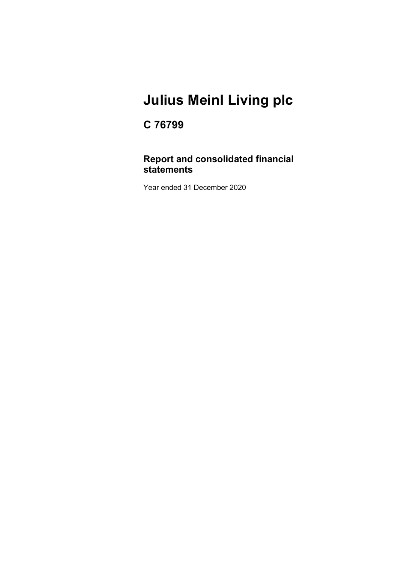# C 76799

# Report and consolidated financial statements

Year ended 31 December 2020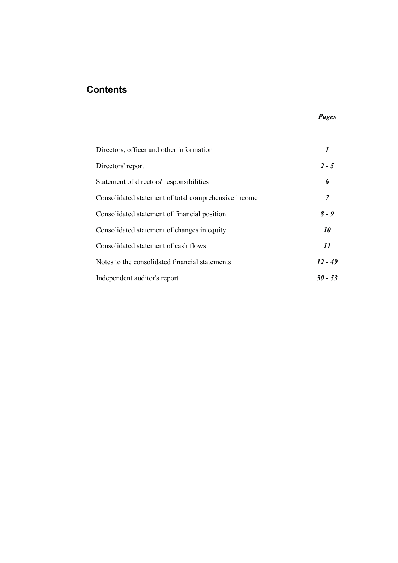# **Contents**

| <b>Pages</b> |  |
|--------------|--|
|              |  |

| Directors, officer and other information             |           |
|------------------------------------------------------|-----------|
| Directors' report                                    | $2 - 5$   |
| Statement of directors' responsibilities             | 6         |
| Consolidated statement of total comprehensive income | 7         |
| Consolidated statement of financial position         | $8 - 9$   |
| Consolidated statement of changes in equity          | 10        |
| Consolidated statement of cash flows                 | 11        |
| Notes to the consolidated financial statements       | $12 - 49$ |
| Independent auditor's report                         | $50 - 53$ |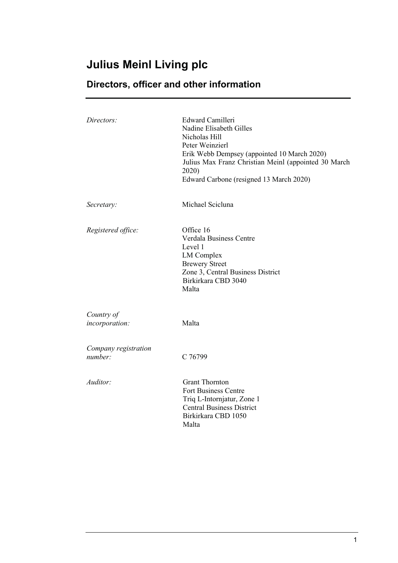# Directors, officer and other information

| Directors:                      | Edward Camilleri<br>Nadine Elisabeth Gilles<br>Nicholas Hill<br>Peter Weinzierl<br>Erik Webb Dempsey (appointed 10 March 2020)<br>Julius Max Franz Christian Meinl (appointed 30 March<br>2020)<br>Edward Carbone (resigned 13 March 2020) |
|---------------------------------|--------------------------------------------------------------------------------------------------------------------------------------------------------------------------------------------------------------------------------------------|
| Secretary:                      | Michael Scicluna                                                                                                                                                                                                                           |
| Registered office:              | Office 16<br>Verdala Business Centre<br>Level 1<br><b>LM</b> Complex<br><b>Brewery Street</b><br>Zone 3, Central Business District<br>Birkirkara CBD 3040<br>Malta                                                                         |
| Country of<br>incorporation:    | Malta                                                                                                                                                                                                                                      |
| Company registration<br>number: | C 76799                                                                                                                                                                                                                                    |
| Auditor:                        | <b>Grant Thornton</b><br><b>Fort Business Centre</b><br>Triq L-Intornjatur, Zone 1<br><b>Central Business District</b><br>Birkirkara CBD 1050<br>Malta                                                                                     |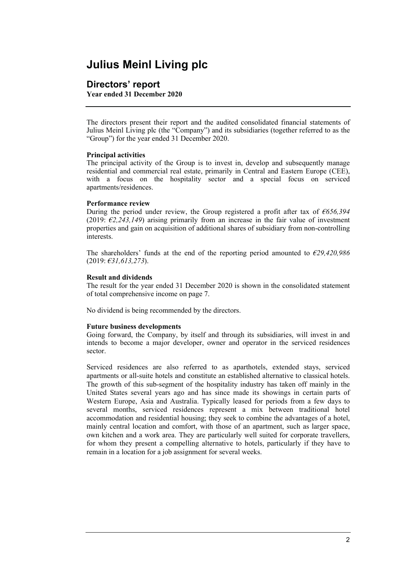# Directors' report

Year ended 31 December 2020

The directors present their report and the audited consolidated financial statements of Julius Meinl Living plc (the "Company") and its subsidiaries (together referred to as the "Group") for the year ended 31 December 2020.

### Principal activities

The principal activity of the Group is to invest in, develop and subsequently manage residential and commercial real estate, primarily in Central and Eastern Europe (CEE), with a focus on the hospitality sector and a special focus on serviced apartments/residences.

### Performance review

During the period under review, the Group registered a profit after tax of *€656,394* (2019:  $\epsilon$ 2,243,149) arising primarily from an increase in the fair value of investment properties and gain on acquisition of additional shares of subsidiary from non-controlling interests.

The shareholders' funds at the end of the reporting period amounted to *€29,420,986* (2019: *€31,613,273*).

### Result and dividends

The result for the year ended 31 December 2020 is shown in the consolidated statement of total comprehensive income on page 7.

No dividend is being recommended by the directors.

### Future business developments

Going forward, the Company, by itself and through its subsidiaries, will invest in and intends to become a major developer, owner and operator in the serviced residences sector.

Serviced residences are also referred to as aparthotels, extended stays, serviced apartments or all-suite hotels and constitute an established alternative to classical hotels. The growth of this sub-segment of the hospitality industry has taken off mainly in the United States several years ago and has since made its showings in certain parts of Western Europe, Asia and Australia. Typically leased for periods from a few days to several months, serviced residences represent a mix between traditional hotel accommodation and residential housing; they seek to combine the advantages of a hotel, mainly central location and comfort, with those of an apartment, such as larger space, own kitchen and a work area. They are particularly well suited for corporate travellers, for whom they present a compelling alternative to hotels, particularly if they have to remain in a location for a job assignment for several weeks.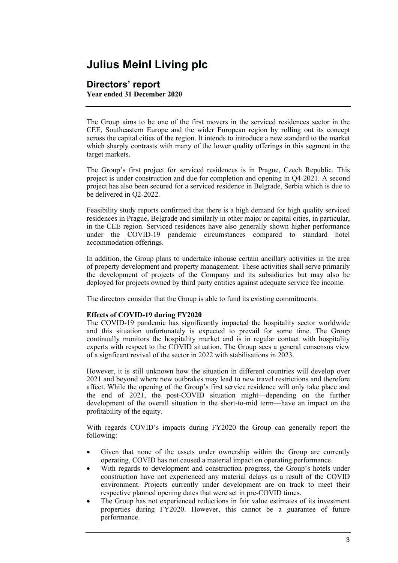## Directors' report Year ended 31 December 2020

The Group aims to be one of the first movers in the serviced residences sector in the CEE, Southeastern Europe and the wider European region by rolling out its concept across the capital cities of the region. It intends to introduce a new standard to the market which sharply contrasts with many of the lower quality offerings in this segment in the target markets.

The Group's first project for serviced residences is in Prague, Czech Republic. This project is under construction and due for completion and opening in Q4-2021. A second project has also been secured for a serviced residence in Belgrade, Serbia which is due to be delivered in Q2-2022.

Feasibility study reports confirmed that there is a high demand for high quality serviced residences in Prague, Belgrade and similarly in other major or capital cities, in particular, in the CEE region. Serviced residences have also generally shown higher performance under the COVID-19 pandemic circumstances compared to standard hotel accommodation offerings.

In addition, the Group plans to undertake inhouse certain ancillary activities in the area of property development and property management. These activities shall serve primarily the development of projects of the Company and its subsidiaries but may also be deployed for projects owned by third party entities against adequate service fee income.

The directors consider that the Group is able to fund its existing commitments.

### Effects of COVID-19 during FY2020

The COVID-19 pandemic has significantly impacted the hospitality sector worldwide and this situation unfortunately is expected to prevail for some time. The Group continually monitors the hospitality market and is in regular contact with hospitality experts with respect to the COVID situation. The Group sees a general consensus view of a signficant revival of the sector in 2022 with stabilisations in 2023.

However, it is still unknown how the situation in different countries will develop over 2021 and beyond where new outbrakes may lead to new travel restrictions and therefore affect. While the opening of the Group's first service residence will only take place and the end of 2021, the post-COVID situation might—depending on the further development of the overall situation in the short-to-mid term—have an impact on the profitability of the equity.

With regards COVID's impacts during FY2020 the Group can generally report the following:

- Given that none of the assets under ownership within the Group are currently operating, COVID has not caused a material impact on operating performance.
- With regards to development and construction progress, the Group's hotels under construction have not experienced any material delays as a result of the COVID environment. Projects currently under development are on track to meet their respective planned opening dates that were set in pre-COVID times.
- The Group has not experienced reductions in fair value estimates of its investment properties during FY2020. However, this cannot be a guarantee of future performance.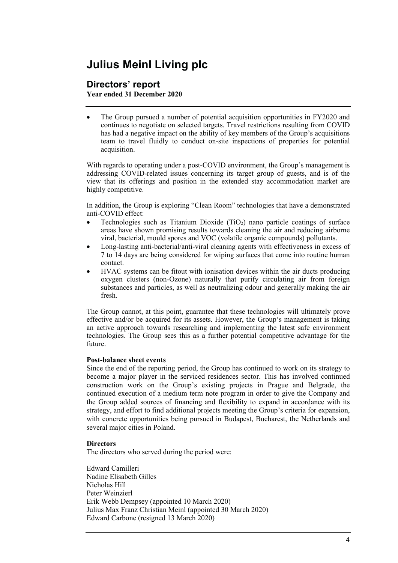# Directors' report

Year ended 31 December 2020

• The Group pursued a number of potential acquisition opportunities in FY2020 and continues to negotiate on selected targets. Travel restrictions resulting from COVID has had a negative impact on the ability of key members of the Group's acquisitions team to travel fluidly to conduct on-site inspections of properties for potential acquisition.

With regards to operating under a post-COVID environment, the Group's management is addressing COVID-related issues concerning its target group of guests, and is of the view that its offerings and position in the extended stay accommodation market are highly competitive.

In addition, the Group is exploring "Clean Room" technologies that have a demonstrated anti-COVID effect:

- Technologies such as Titanium Dioxide (TiO<sub>2</sub>) nano particle coatings of surface areas have shown promising results towards cleaning the air and reducing airborne viral, bacterial, mould spores and VOC (volatile organic compounds) pollutants.
- Long-lasting anti-bacterial/anti-viral cleaning agents with effectiveness in excess of 7 to 14 days are being considered for wiping surfaces that come into routine human contact.
- HVAC systems can be fitout with ionisation devices within the air ducts producing oxygen clusters (non-Ozone) naturally that purify circulating air from foreign substances and particles, as well as neutralizing odour and generally making the air fresh.

The Group cannot, at this point, guarantee that these technologies will ultimately prove effective and/or be acquired for its assets. However, the Group's management is taking an active approach towards researching and implementing the latest safe environment technologies. The Group sees this as a further potential competitive advantage for the future.

### Post-balance sheet events

Since the end of the reporting period, the Group has continued to work on its strategy to become a major player in the serviced residences sector. This has involved continued construction work on the Group's existing projects in Prague and Belgrade, the continued execution of a medium term note program in order to give the Company and the Group added sources of financing and flexibility to expand in accordance with its strategy, and effort to find additional projects meeting the Group's criteria for expansion, with concrete opportunities being pursued in Budapest, Bucharest, the Netherlands and several major cities in Poland.

### **Directors**

The directors who served during the period were:

Edward Camilleri Nadine Elisabeth Gilles Nicholas Hill Peter Weinzierl Erik Webb Dempsey (appointed 10 March 2020) Julius Max Franz Christian Meinl (appointed 30 March 2020) Edward Carbone (resigned 13 March 2020)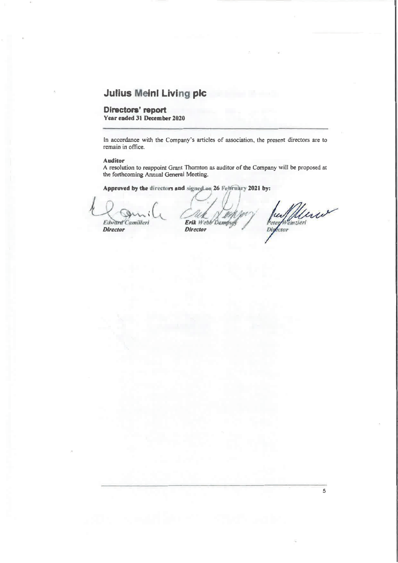## Directors' report

Year ended 31 December 2020

In accordance with the Company's articles of association, the present directors are to remain in office.

#### Auditor

A resolution to reappoint Grant Thornton as auditor of the Company will be proposed at the forthcoming Annual General Meeting.

Approved by the directors and signed on 26 February 2021 by:

Edward Camilleri

2M) Erik Webb Dempses

Jun Peter Weinzierl<br>Digector

 $\overline{5}$ 

**Director** 

**Director**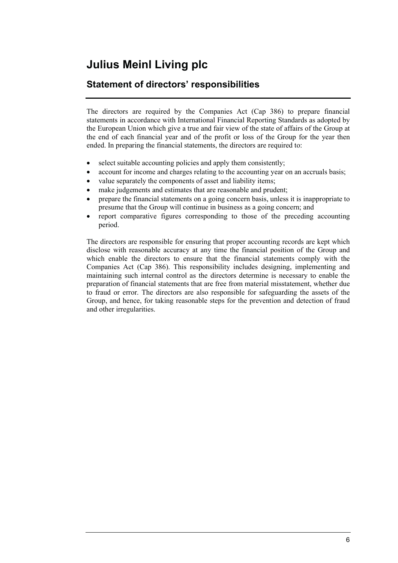# Statement of directors' responsibilities

The directors are required by the Companies Act (Cap 386) to prepare financial statements in accordance with International Financial Reporting Standards as adopted by the European Union which give a true and fair view of the state of affairs of the Group at the end of each financial year and of the profit or loss of the Group for the year then ended. In preparing the financial statements, the directors are required to:

- select suitable accounting policies and apply them consistently;
- account for income and charges relating to the accounting year on an accruals basis;
- value separately the components of asset and liability items;
- make judgements and estimates that are reasonable and prudent;
- x prepare the financial statements on a going concern basis, unless it is inappropriate to presume that the Group will continue in business as a going concern; and
- x report comparative figures corresponding to those of the preceding accounting period.

The directors are responsible for ensuring that proper accounting records are kept which disclose with reasonable accuracy at any time the financial position of the Group and which enable the directors to ensure that the financial statements comply with the Companies Act (Cap 386). This responsibility includes designing, implementing and maintaining such internal control as the directors determine is necessary to enable the preparation of financial statements that are free from material misstatement, whether due to fraud or error. The directors are also responsible for safeguarding the assets of the Group, and hence, for taking reasonable steps for the prevention and detection of fraud and other irregularities.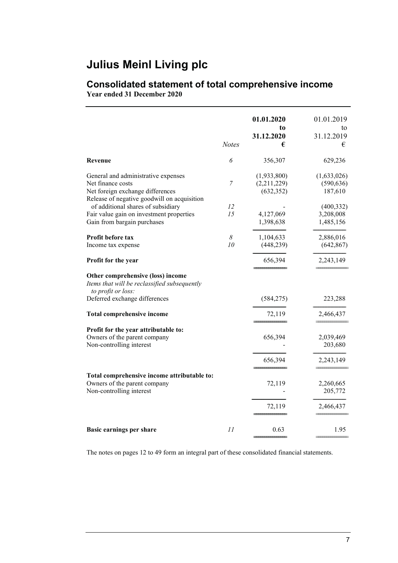# Consolidated statement of total comprehensive income Year ended 31 December 2020

|                                                                                                                                             | <b>Notes</b> | 01.01.2020<br>to<br>31.12.2020<br>€      | 01.01.2019<br>to<br>31.12.2019<br>€  |
|---------------------------------------------------------------------------------------------------------------------------------------------|--------------|------------------------------------------|--------------------------------------|
| Revenue                                                                                                                                     | 6            | 356,307                                  | 629,236                              |
| General and administrative expenses<br>Net finance costs<br>Net foreign exchange differences<br>Release of negative goodwill on acquisition | 7            | (1,933,800)<br>(2,211,229)<br>(632, 352) | (1,633,026)<br>(590, 636)<br>187,610 |
| of additional shares of subsidiary<br>Fair value gain on investment properties<br>Gain from bargain purchases                               | 12<br>15     | 4,127,069<br>1,398,638                   | (400, 332)<br>3,208,008<br>1,485,156 |
| Profit before tax<br>Income tax expense                                                                                                     | 8<br>10      | 1,104,633<br>(448, 239)                  | 2,886,016<br>(642, 867)              |
| Profit for the year                                                                                                                         |              | 656,394                                  | 2,243,149                            |
| Other comprehensive (loss) income<br>Items that will be reclassified subsequently<br>to profit or loss:<br>Deferred exchange differences    |              | (584, 275)                               | 223,288                              |
| <b>Total comprehensive income</b>                                                                                                           |              | 72,119                                   | 2,466,437                            |
| Profit for the year attributable to:<br>Owners of the parent company<br>Non-controlling interest                                            |              | 656,394<br>656,394                       | 2,039,469<br>203,680<br>2,243,149    |
| Total comprehensive income attributable to:<br>Owners of the parent company<br>Non-controlling interest                                     |              | 72,119                                   | 2,260,665<br>205,772                 |
|                                                                                                                                             |              | 72,119                                   | 2,466,437                            |
| Basic earnings per share                                                                                                                    | 11           | 0.63                                     | 1.95                                 |

The notes on pages 12 to 49 form an integral part of these consolidated financial statements.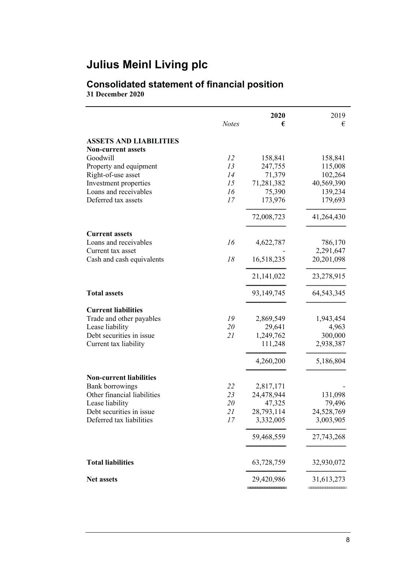# Consolidated statement of financial position 31 December 2020

|                                                | <b>Notes</b> | 2020<br>€            | 2019<br>€             |
|------------------------------------------------|--------------|----------------------|-----------------------|
| <b>ASSETS AND LIABILITIES</b>                  |              |                      |                       |
| <b>Non-current assets</b>                      |              |                      |                       |
| Goodwill                                       | 12           | 158,841              | 158,841               |
| Property and equipment                         | 13           | 247,755              | 115,008               |
| Right-of-use asset                             | 14<br>15     | 71,379               | 102,264<br>40,569,390 |
| Investment properties<br>Loans and receivables | 16           | 71,281,382<br>75,390 | 139,234               |
| Deferred tax assets                            | 17           | 173,976              | 179,693               |
|                                                |              | 72,008,723           | 41,264,430            |
| <b>Current assets</b>                          |              |                      |                       |
| Loans and receivables                          | 16           | 4,622,787            | 786,170               |
| Current tax asset                              |              |                      | 2,291,647             |
| Cash and cash equivalents                      | 18           | 16,518,235           | 20,201,098            |
|                                                |              | 21, 141, 022         | 23,278,915            |
| <b>Total assets</b>                            |              | 93,149,745           | 64, 543, 345          |
| <b>Current liabilities</b>                     |              |                      |                       |
| Trade and other payables                       | 19           | 2,869,549            | 1,943,454             |
| Lease liability                                | 20           | 29,641               | 4,963                 |
| Debt securities in issue                       | 21           | 1,249,762            | 300,000               |
| Current tax liability                          |              | 111,248              | 2,938,387             |
|                                                |              | 4,260,200            | 5,186,804             |
| <b>Non-current liabilities</b>                 |              |                      |                       |
| <b>Bank borrowings</b>                         | 22           | 2,817,171            |                       |
| Other financial liabilities                    | 23           | 24,478,944           | 131,098               |
| Lease liability                                | 20           | 47,325               | 79,496                |
| Debt securities in issue                       | 21           | 28,793,114           | 24,528,769            |
| Deferred tax liabilities                       | 17           | 3,332,005            | 3,003,905             |
|                                                |              | 59,468,559           | 27,743,268            |
| <b>Total liabilities</b>                       |              | 63,728,759           | 32,930,072            |
| <b>Net assets</b>                              |              | 29,420,986           | 31,613,273            |
|                                                |              |                      |                       |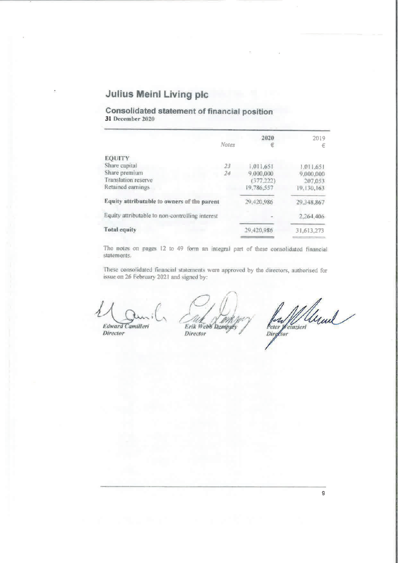### Consolidated statement of financial position **31 December 2020**

|                                                 | Notes | 2020<br>€  | 2019<br>€    |
|-------------------------------------------------|-------|------------|--------------|
| <b>EQUITY</b>                                   |       |            |              |
| Share capital                                   | 23    | 1,011,651  | 1.011.65     |
| Share premium                                   | 24    | 9,000,000  | 9,000,000    |
| Translation reserve                             |       | (377.222)  | 207,053      |
| Retained earnings.                              |       | 19,786,557 | 19, 130, 163 |
| Equity attributable to owners of the parent     |       | 29,420,986 | 29.348,867   |
| Equity attributable to non-controlling interest |       |            | 2.264.406    |
| <b>Total equity</b>                             |       | 29,420,986 | 31.613.273   |

The notes on pages 12 to 49 form an integral part of these consolidated financial statements.

These consolidated financial statements were approved by the directors, authorised for issue on 26 February 2021 and signed by:

**Edward Camilleri** Director

m Erik Webb Dempyey

Director

Per Mulund

 $\mathsf g$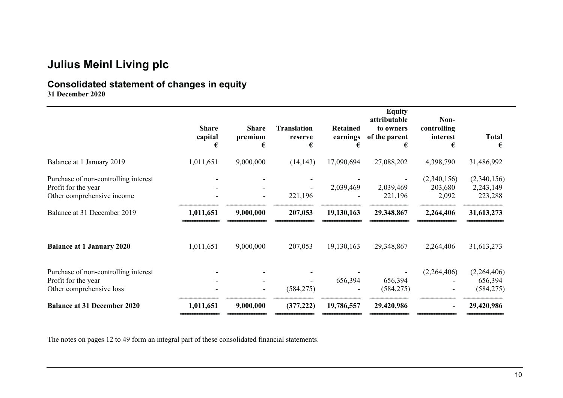## Consolidated statement of changes in equity 31 December 2020

|                                                                                                                          | <b>Share</b><br>capital<br>€ | <b>Share</b><br>premium<br>€ | <b>Translation</b><br>reserve<br>€ | <b>Retained</b><br>earnings<br>€ | <b>Equity</b><br>attributable<br>to owners<br>of the parent<br>€ | Non-<br>controlling<br>interest<br>€         | <b>Total</b><br>€                                 |
|--------------------------------------------------------------------------------------------------------------------------|------------------------------|------------------------------|------------------------------------|----------------------------------|------------------------------------------------------------------|----------------------------------------------|---------------------------------------------------|
| Balance at 1 January 2019                                                                                                | 1,011,651                    | 9,000,000                    | (14, 143)                          | 17,090,694                       | 27,088,202                                                       | 4,398,790                                    | 31,486,992                                        |
| Purchase of non-controlling interest<br>Profit for the year<br>Other comprehensive income<br>Balance at 31 December 2019 | 1,011,651                    | $\blacksquare$<br>9,000,000  | 221,196<br>207,053                 | 2,039,469<br>19,130,163          | 2,039,469<br>221,196<br>29,348,867                               | (2,340,156)<br>203,680<br>2,092<br>2,264,406 | (2,340,156)<br>2,243,149<br>223,288<br>31,613,273 |
|                                                                                                                          |                              |                              |                                    |                                  |                                                                  |                                              |                                                   |
| <b>Balance at 1 January 2020</b>                                                                                         | 1,011,651                    | 9,000,000                    | 207,053                            | 19,130,163                       | 29,348,867                                                       | 2,264,406                                    | 31,613,273                                        |
| Purchase of non-controlling interest<br>Profit for the year<br>Other comprehensive loss                                  |                              | $\blacksquare$               | (584, 275)                         | 656,394                          | 656,394<br>(584, 275)                                            | (2,264,406)                                  | (2,264,406)<br>656,394<br>(584, 275)              |
| <b>Balance at 31 December 2020</b>                                                                                       | 1,011,651                    | 9,000,000                    | (377, 222)                         | 19,786,557                       | 29,420,986                                                       |                                              | 29,420,986                                        |

The notes on pages 12 to 49 form an integral part of these consolidated financial statements.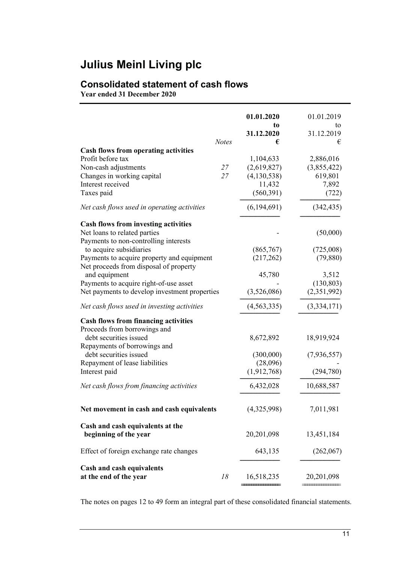# Consolidated statement of cash flows

Year ended 31 December 2020

|                                                                                        |              | 01.01.2020            | 01.01.2019            |
|----------------------------------------------------------------------------------------|--------------|-----------------------|-----------------------|
|                                                                                        | <b>Notes</b> | to<br>31.12.2020<br>€ | to<br>31.12.2019<br>€ |
| <b>Cash flows from operating activities</b>                                            |              |                       |                       |
| Profit before tax                                                                      |              | 1,104,633             | 2,886,016             |
| Non-cash adjustments                                                                   | 27           | (2,619,827)           | (3,855,422)           |
| Changes in working capital                                                             | 27           | (4, 130, 538)         | 619,801               |
| Interest received                                                                      |              | 11,432                | 7,892                 |
| Taxes paid                                                                             |              | (560, 391)            | (722)                 |
| Net cash flows used in operating activities                                            |              | (6, 194, 691)         | (342, 435)            |
| <b>Cash flows from investing activities</b>                                            |              |                       |                       |
| Net loans to related parties                                                           |              |                       | (50,000)              |
| Payments to non-controlling interests                                                  |              |                       |                       |
| to acquire subsidiaries                                                                |              | (865,767)             | (725,008)             |
| Payments to acquire property and equipment                                             |              | (217,262)             | (79, 880)             |
| Net proceeds from disposal of property<br>and equipment                                |              | 45,780                | 3,512                 |
| Payments to acquire right-of-use asset                                                 |              |                       | (130, 803)            |
| Net payments to develop investment properties                                          |              | (3,526,086)           | (2,351,992)           |
| Net cash flows used in investing activities                                            |              | (4, 563, 335)         | (3,334,171)           |
| <b>Cash flows from financing activities</b>                                            |              |                       |                       |
| Proceeds from borrowings and<br>debt securities issued<br>Repayments of borrowings and |              | 8,672,892             | 18,919,924            |
| debt securities issued                                                                 |              | (300,000)             | (7,936,557)           |
| Repayment of lease liabilities                                                         |              | (28,096)              |                       |
| Interest paid                                                                          |              | (1,912,768)           | (294,780)             |
| Net cash flows from financing activities                                               |              | 6,432,028             | 10,688,587            |
| Net movement in cash and cash equivalents                                              |              | (4,325,998)           | 7,011,981             |
| Cash and cash equivalents at the<br>beginning of the year                              |              | 20,201,098            | 13,451,184            |
| Effect of foreign exchange rate changes                                                |              | 643,135               | (262,067)             |
| <b>Cash and cash equivalents</b><br>at the end of the year                             | 18           | 16,518,235            | 20,201,098            |

The notes on pages 12 to 49 form an integral part of these consolidated financial statements.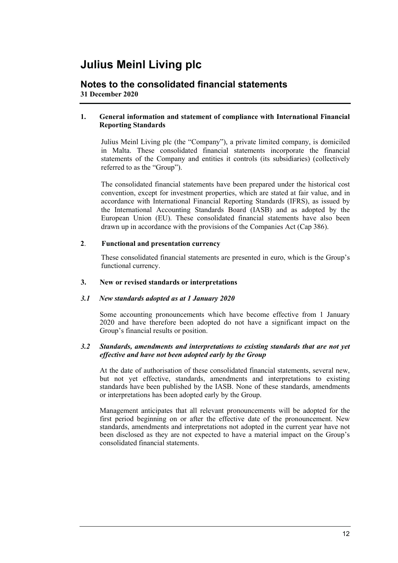# Notes to the consolidated financial statements 31 December 2020

### 1. General information and statement of compliance with International Financial Reporting Standards

Julius Meinl Living plc (the "Company"), a private limited company, is domiciled in Malta. These consolidated financial statements incorporate the financial statements of the Company and entities it controls (its subsidiaries) (collectively referred to as the "Group").

The consolidated financial statements have been prepared under the historical cost convention, except for investment properties, which are stated at fair value, and in accordance with International Financial Reporting Standards (IFRS), as issued by the International Accounting Standards Board (IASB) and as adopted by the European Union (EU). These consolidated financial statements have also been drawn up in accordance with the provisions of the Companies Act (Cap 386).

### 2. Functional and presentation currency

These consolidated financial statements are presented in euro, which is the Group's functional currency.

### 3. New or revised standards or interpretations

### *3.1 New standards adopted as at 1 January 2020*

Some accounting pronouncements which have become effective from 1 January 2020 and have therefore been adopted do not have a significant impact on the Group's financial results or position.

### *3.2 Standards, amendments and interpretations to existing standards that are not yet effective and have not been adopted early by the Group*

At the date of authorisation of these consolidated financial statements, several new, but not yet effective, standards, amendments and interpretations to existing standards have been published by the IASB. None of these standards, amendments or interpretations has been adopted early by the Group.

Management anticipates that all relevant pronouncements will be adopted for the first period beginning on or after the effective date of the pronouncement. New standards, amendments and interpretations not adopted in the current year have not been disclosed as they are not expected to have a material impact on the Group's consolidated financial statements.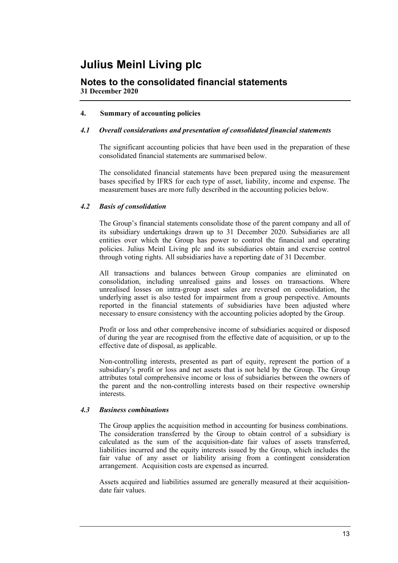## Notes to the consolidated financial statements 31 December 2020

## 4. Summary of accounting policies

### *4.1 Overall considerations and presentation of consolidated financial statements*

The significant accounting policies that have been used in the preparation of these consolidated financial statements are summarised below.

The consolidated financial statements have been prepared using the measurement bases specified by IFRS for each type of asset, liability, income and expense. The measurement bases are more fully described in the accounting policies below.

### *4.2 Basis of consolidation*

The Group's financial statements consolidate those of the parent company and all of its subsidiary undertakings drawn up to 31 December 2020. Subsidiaries are all entities over which the Group has power to control the financial and operating policies. Julius Meinl Living plc and its subsidiaries obtain and exercise control through voting rights. All subsidiaries have a reporting date of 31 December.

All transactions and balances between Group companies are eliminated on consolidation, including unrealised gains and losses on transactions. Where unrealised losses on intra-group asset sales are reversed on consolidation, the underlying asset is also tested for impairment from a group perspective. Amounts reported in the financial statements of subsidiaries have been adjusted where necessary to ensure consistency with the accounting policies adopted by the Group.

Profit or loss and other comprehensive income of subsidiaries acquired or disposed of during the year are recognised from the effective date of acquisition, or up to the effective date of disposal, as applicable.

Non-controlling interests, presented as part of equity, represent the portion of a subsidiary's profit or loss and net assets that is not held by the Group. The Group attributes total comprehensive income or loss of subsidiaries between the owners of the parent and the non-controlling interests based on their respective ownership interests.

### *4.3 Business combinations*

The Group applies the acquisition method in accounting for business combinations. The consideration transferred by the Group to obtain control of a subsidiary is calculated as the sum of the acquisition-date fair values of assets transferred, liabilities incurred and the equity interests issued by the Group, which includes the fair value of any asset or liability arising from a contingent consideration arrangement. Acquisition costs are expensed as incurred.

Assets acquired and liabilities assumed are generally measured at their acquisitiondate fair values.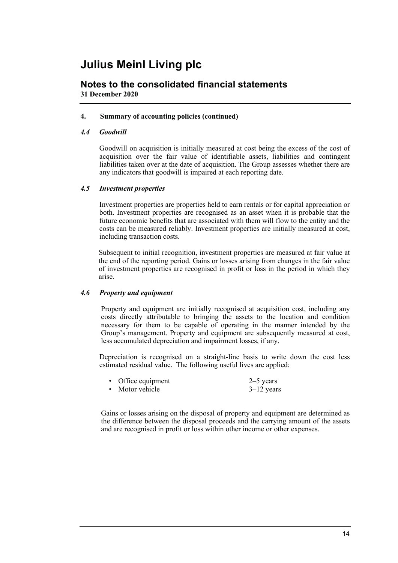# Notes to the consolidated financial statements 31 December 2020

## 4. Summary of accounting policies (continued)

### *4.4 Goodwill*

Goodwill on acquisition is initially measured at cost being the excess of the cost of acquisition over the fair value of identifiable assets, liabilities and contingent liabilities taken over at the date of acquisition. The Group assesses whether there are any indicators that goodwill is impaired at each reporting date.

### *4.5 Investment properties*

Investment properties are properties held to earn rentals or for capital appreciation or both. Investment properties are recognised as an asset when it is probable that the future economic benefits that are associated with them will flow to the entity and the costs can be measured reliably. Investment properties are initially measured at cost, including transaction costs.

Subsequent to initial recognition, investment properties are measured at fair value at the end of the reporting period. Gains or losses arising from changes in the fair value of investment properties are recognised in profit or loss in the period in which they arise.

### *4.6 Property and equipment*

Property and equipment are initially recognised at acquisition cost, including any costs directly attributable to bringing the assets to the location and condition necessary for them to be capable of operating in the manner intended by the Group's management. Property and equipment are subsequently measured at cost, less accumulated depreciation and impairment losses, if any.

Depreciation is recognised on a straight-line basis to write down the cost less estimated residual value. The following useful lives are applied:

| • Office equipment | $2-5$ years  |
|--------------------|--------------|
| • Motor vehicle    | $3-12$ years |

Gains or losses arising on the disposal of property and equipment are determined as the difference between the disposal proceeds and the carrying amount of the assets and are recognised in profit or loss within other income or other expenses.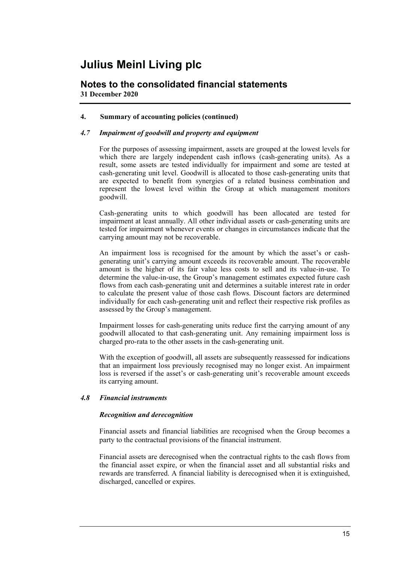# Notes to the consolidated financial statements 31 December 2020

## 4. Summary of accounting policies (continued)

### *4.7 Impairment of goodwill and property and equipment*

For the purposes of assessing impairment, assets are grouped at the lowest levels for which there are largely independent cash inflows (cash-generating units). As a result, some assets are tested individually for impairment and some are tested at cash-generating unit level. Goodwill is allocated to those cash-generating units that are expected to benefit from synergies of a related business combination and represent the lowest level within the Group at which management monitors goodwill.

Cash-generating units to which goodwill has been allocated are tested for impairment at least annually. All other individual assets or cash-generating units are tested for impairment whenever events or changes in circumstances indicate that the carrying amount may not be recoverable.

An impairment loss is recognised for the amount by which the asset's or cashgenerating unit's carrying amount exceeds its recoverable amount. The recoverable amount is the higher of its fair value less costs to sell and its value-in-use. To determine the value-in-use, the Group's management estimates expected future cash flows from each cash-generating unit and determines a suitable interest rate in order to calculate the present value of those cash flows. Discount factors are determined individually for each cash-generating unit and reflect their respective risk profiles as assessed by the Group's management.

Impairment losses for cash-generating units reduce first the carrying amount of any goodwill allocated to that cash-generating unit. Any remaining impairment loss is charged pro-rata to the other assets in the cash-generating unit.

With the exception of goodwill, all assets are subsequently reassessed for indications that an impairment loss previously recognised may no longer exist. An impairment loss is reversed if the asset's or cash-generating unit's recoverable amount exceeds its carrying amount.

### *4.8 Financial instruments*

### *Recognition and derecognition*

Financial assets and financial liabilities are recognised when the Group becomes a party to the contractual provisions of the financial instrument.

Financial assets are derecognised when the contractual rights to the cash flows from the financial asset expire, or when the financial asset and all substantial risks and rewards are transferred. A financial liability is derecognised when it is extinguished, discharged, cancelled or expires.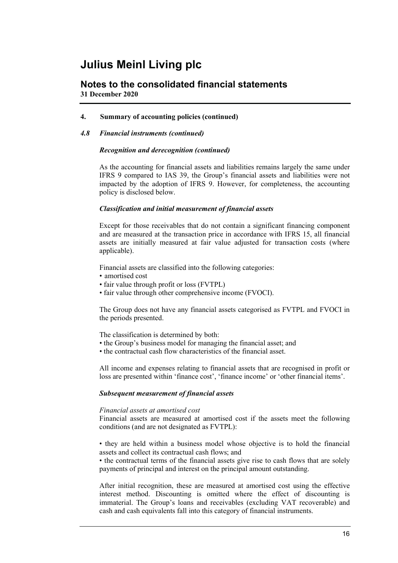## Notes to the consolidated financial statements 31 December 2020

### 4. Summary of accounting policies (continued)

### *4.8 Financial instruments (continued)*

### *Recognition and derecognition (continued)*

As the accounting for financial assets and liabilities remains largely the same under IFRS 9 compared to IAS 39, the Group's financial assets and liabilities were not impacted by the adoption of IFRS 9. However, for completeness, the accounting policy is disclosed below.

### *Classification and initial measurement of financial assets*

Except for those receivables that do not contain a significant financing component and are measured at the transaction price in accordance with IFRS 15, all financial assets are initially measured at fair value adjusted for transaction costs (where applicable).

Financial assets are classified into the following categories:

- amortised cost
- fair value through profit or loss (FVTPL)
- fair value through other comprehensive income (FVOCI).

The Group does not have any financial assets categorised as FVTPL and FVOCI in the periods presented.

The classification is determined by both:

- the Group's business model for managing the financial asset; and
- the contractual cash flow characteristics of the financial asset.

All income and expenses relating to financial assets that are recognised in profit or loss are presented within 'finance cost', 'finance income' or 'other financial items'.

### *Subsequent measurement of financial assets*

### *Financial assets at amortised cost*

Financial assets are measured at amortised cost if the assets meet the following conditions (and are not designated as FVTPL):

• they are held within a business model whose objective is to hold the financial assets and collect its contractual cash flows; and

• the contractual terms of the financial assets give rise to cash flows that are solely payments of principal and interest on the principal amount outstanding.

After initial recognition, these are measured at amortised cost using the effective interest method. Discounting is omitted where the effect of discounting is immaterial. The Group's loans and receivables (excluding VAT recoverable) and cash and cash equivalents fall into this category of financial instruments.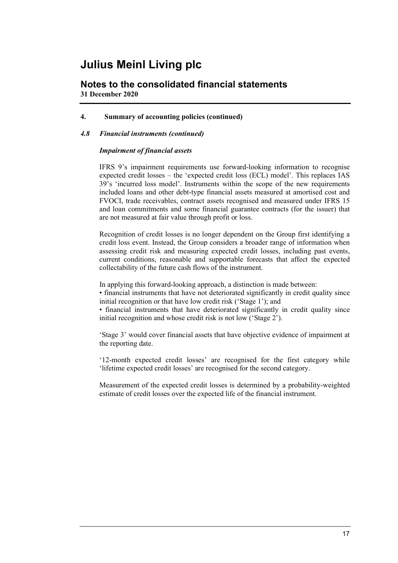# Notes to the consolidated financial statements 31 December 2020

## 4. Summary of accounting policies (continued)

### *4.8 Financial instruments (continued)*

## *Impairment of financial assets*

IFRS 9's impairment requirements use forward-looking information to recognise expected credit losses – the 'expected credit loss (ECL) model'. This replaces IAS 39's 'incurred loss model'. Instruments within the scope of the new requirements included loans and other debt-type financial assets measured at amortised cost and FVOCI, trade receivables, contract assets recognised and measured under IFRS 15 and loan commitments and some financial guarantee contracts (for the issuer) that are not measured at fair value through profit or loss.

Recognition of credit losses is no longer dependent on the Group first identifying a credit loss event. Instead, the Group considers a broader range of information when assessing credit risk and measuring expected credit losses, including past events, current conditions, reasonable and supportable forecasts that affect the expected collectability of the future cash flows of the instrument.

In applying this forward-looking approach, a distinction is made between:

• financial instruments that have not deteriorated significantly in credit quality since initial recognition or that have low credit risk ('Stage 1'); and

• financial instruments that have deteriorated significantly in credit quality since initial recognition and whose credit risk is not low ('Stage 2').

'Stage 3' would cover financial assets that have objective evidence of impairment at the reporting date.

'12-month expected credit losses' are recognised for the first category while 'lifetime expected credit losses' are recognised for the second category.

Measurement of the expected credit losses is determined by a probability-weighted estimate of credit losses over the expected life of the financial instrument.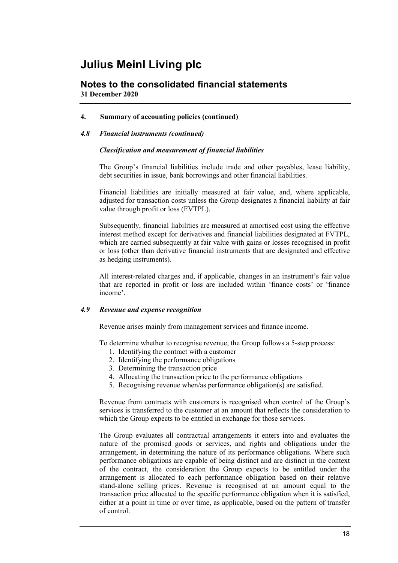## Notes to the consolidated financial statements 31 December 2020

## 4. Summary of accounting policies (continued)

### *4.8 Financial instruments (continued)*

### *Classification and measurement of financial liabilities*

The Group's financial liabilities include trade and other payables, lease liability, debt securities in issue, bank borrowings and other financial liabilities.

Financial liabilities are initially measured at fair value, and, where applicable, adjusted for transaction costs unless the Group designates a financial liability at fair value through profit or loss (FVTPL).

Subsequently, financial liabilities are measured at amortised cost using the effective interest method except for derivatives and financial liabilities designated at FVTPL, which are carried subsequently at fair value with gains or losses recognised in profit or loss (other than derivative financial instruments that are designated and effective as hedging instruments).

All interest-related charges and, if applicable, changes in an instrument's fair value that are reported in profit or loss are included within 'finance costs' or 'finance income'.

### *4.9 Revenue and expense recognition*

Revenue arises mainly from management services and finance income.

To determine whether to recognise revenue, the Group follows a 5-step process:

- 1. Identifying the contract with a customer
- 2. Identifying the performance obligations
- 3. Determining the transaction price
- 4. Allocating the transaction price to the performance obligations
- 5. Recognising revenue when/as performance obligation(s) are satisfied.

Revenue from contracts with customers is recognised when control of the Group's services is transferred to the customer at an amount that reflects the consideration to which the Group expects to be entitled in exchange for those services.

The Group evaluates all contractual arrangements it enters into and evaluates the nature of the promised goods or services, and rights and obligations under the arrangement, in determining the nature of its performance obligations. Where such performance obligations are capable of being distinct and are distinct in the context of the contract, the consideration the Group expects to be entitled under the arrangement is allocated to each performance obligation based on their relative stand-alone selling prices. Revenue is recognised at an amount equal to the transaction price allocated to the specific performance obligation when it is satisfied, either at a point in time or over time, as applicable, based on the pattern of transfer of control.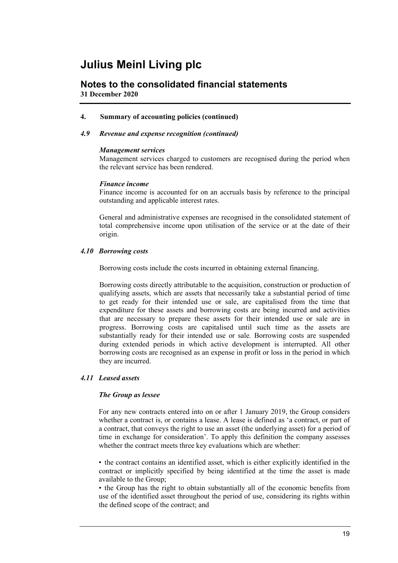# Notes to the consolidated financial statements 31 December 2020

## 4. Summary of accounting policies (continued)

### *4.9 Revenue and expense recognition (continued)*

### *Management services*

Management services charged to customers are recognised during the period when the relevant service has been rendered.

### *Finance income*

Finance income is accounted for on an accruals basis by reference to the principal outstanding and applicable interest rates.

General and administrative expenses are recognised in the consolidated statement of total comprehensive income upon utilisation of the service or at the date of their origin.

### *4.10 Borrowing costs*

Borrowing costs include the costs incurred in obtaining external financing.

Borrowing costs directly attributable to the acquisition, construction or production of qualifying assets, which are assets that necessarily take a substantial period of time to get ready for their intended use or sale, are capitalised from the time that expenditure for these assets and borrowing costs are being incurred and activities that are necessary to prepare these assets for their intended use or sale are in progress. Borrowing costs are capitalised until such time as the assets are substantially ready for their intended use or sale*.* Borrowing costs are suspended during extended periods in which active development is interrupted. All other borrowing costs are recognised as an expense in profit or loss in the period in which they are incurred.

## *4.11 Leased assets*

## *The Group as lessee*

For any new contracts entered into on or after 1 January 2019, the Group considers whether a contract is, or contains a lease. A lease is defined as 'a contract, or part of a contract, that conveys the right to use an asset (the underlying asset) for a period of time in exchange for consideration'. To apply this definition the company assesses whether the contract meets three key evaluations which are whether:

• the contract contains an identified asset, which is either explicitly identified in the contract or implicitly specified by being identified at the time the asset is made available to the Group;

• the Group has the right to obtain substantially all of the economic benefits from use of the identified asset throughout the period of use, considering its rights within the defined scope of the contract; and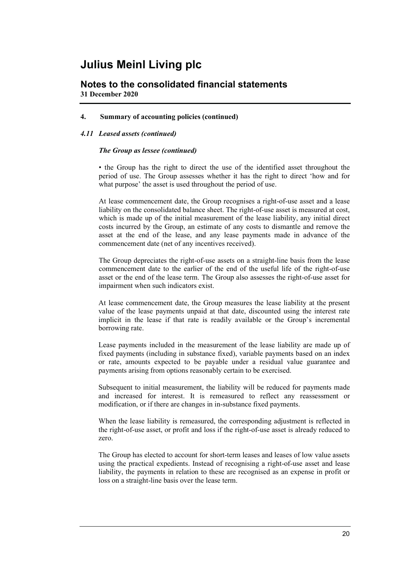## Notes to the consolidated financial statements 31 December 2020

### 4. Summary of accounting policies (continued)

### *4.11 Leased assets (continued)*

### *The Group as lessee (continued)*

• the Group has the right to direct the use of the identified asset throughout the period of use. The Group assesses whether it has the right to direct 'how and for what purpose' the asset is used throughout the period of use.

At lease commencement date, the Group recognises a right-of-use asset and a lease liability on the consolidated balance sheet. The right-of-use asset is measured at cost, which is made up of the initial measurement of the lease liability, any initial direct costs incurred by the Group, an estimate of any costs to dismantle and remove the asset at the end of the lease, and any lease payments made in advance of the commencement date (net of any incentives received).

The Group depreciates the right-of-use assets on a straight-line basis from the lease commencement date to the earlier of the end of the useful life of the right-of-use asset or the end of the lease term. The Group also assesses the right-of-use asset for impairment when such indicators exist.

At lease commencement date, the Group measures the lease liability at the present value of the lease payments unpaid at that date, discounted using the interest rate implicit in the lease if that rate is readily available or the Group's incremental borrowing rate.

Lease payments included in the measurement of the lease liability are made up of fixed payments (including in substance fixed), variable payments based on an index or rate, amounts expected to be payable under a residual value guarantee and payments arising from options reasonably certain to be exercised.

Subsequent to initial measurement, the liability will be reduced for payments made and increased for interest. It is remeasured to reflect any reassessment or modification, or if there are changes in in-substance fixed payments.

When the lease liability is remeasured, the corresponding adjustment is reflected in the right-of-use asset, or profit and loss if the right-of-use asset is already reduced to zero.

The Group has elected to account for short-term leases and leases of low value assets using the practical expedients. Instead of recognising a right-of-use asset and lease liability, the payments in relation to these are recognised as an expense in profit or loss on a straight-line basis over the lease term.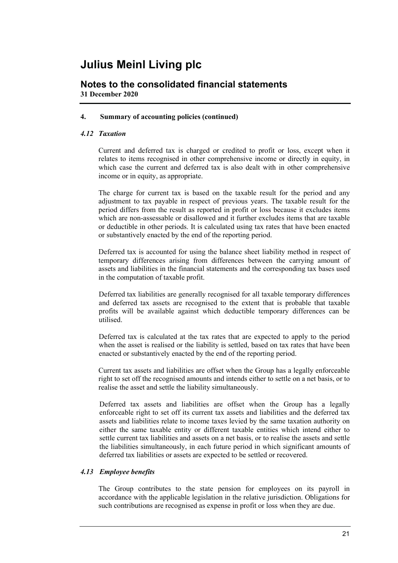# Notes to the consolidated financial statements 31 December 2020

## 4. Summary of accounting policies (continued)

### *4.12 Taxation*

Current and deferred tax is charged or credited to profit or loss, except when it relates to items recognised in other comprehensive income or directly in equity, in which case the current and deferred tax is also dealt with in other comprehensive income or in equity, as appropriate.

The charge for current tax is based on the taxable result for the period and any adjustment to tax payable in respect of previous years. The taxable result for the period differs from the result as reported in profit or loss because it excludes items which are non-assessable or disallowed and it further excludes items that are taxable or deductible in other periods. It is calculated using tax rates that have been enacted or substantively enacted by the end of the reporting period.

Deferred tax is accounted for using the balance sheet liability method in respect of temporary differences arising from differences between the carrying amount of assets and liabilities in the financial statements and the corresponding tax bases used in the computation of taxable profit.

Deferred tax liabilities are generally recognised for all taxable temporary differences and deferred tax assets are recognised to the extent that is probable that taxable profits will be available against which deductible temporary differences can be utilised.

Deferred tax is calculated at the tax rates that are expected to apply to the period when the asset is realised or the liability is settled, based on tax rates that have been enacted or substantively enacted by the end of the reporting period.

Current tax assets and liabilities are offset when the Group has a legally enforceable right to set off the recognised amounts and intends either to settle on a net basis, or to realise the asset and settle the liability simultaneously.

Deferred tax assets and liabilities are offset when the Group has a legally enforceable right to set off its current tax assets and liabilities and the deferred tax assets and liabilities relate to income taxes levied by the same taxation authority on either the same taxable entity or different taxable entities which intend either to settle current tax liabilities and assets on a net basis, or to realise the assets and settle the liabilities simultaneously, in each future period in which significant amounts of deferred tax liabilities or assets are expected to be settled or recovered.

## *4.13 Employee benefits*

The Group contributes to the state pension for employees on its payroll in accordance with the applicable legislation in the relative jurisdiction. Obligations for such contributions are recognised as expense in profit or loss when they are due.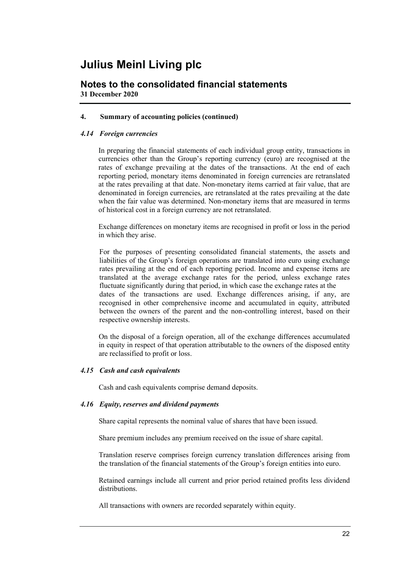# Notes to the consolidated financial statements 31 December 2020

## 4. Summary of accounting policies (continued)

### *4.14 Foreign currencies*

In preparing the financial statements of each individual group entity, transactions in currencies other than the Group's reporting currency (euro) are recognised at the rates of exchange prevailing at the dates of the transactions. At the end of each reporting period, monetary items denominated in foreign currencies are retranslated at the rates prevailing at that date. Non-monetary items carried at fair value, that are denominated in foreign currencies, are retranslated at the rates prevailing at the date when the fair value was determined. Non-monetary items that are measured in terms of historical cost in a foreign currency are not retranslated.

Exchange differences on monetary items are recognised in profit or loss in the period in which they arise.

For the purposes of presenting consolidated financial statements, the assets and liabilities of the Group's foreign operations are translated into euro using exchange rates prevailing at the end of each reporting period. Income and expense items are translated at the average exchange rates for the period, unless exchange rates fluctuate significantly during that period, in which case the exchange rates at the dates of the transactions are used. Exchange differences arising, if any, are recognised in other comprehensive income and accumulated in equity, attributed between the owners of the parent and the non-controlling interest, based on their respective ownership interests.

On the disposal of a foreign operation, all of the exchange differences accumulated in equity in respect of that operation attributable to the owners of the disposed entity are reclassified to profit or loss.

### *4.15 Cash and cash equivalents*

Cash and cash equivalents comprise demand deposits.

### *4.16 Equity, reserves and dividend payments*

Share capital represents the nominal value of shares that have been issued.

Share premium includes any premium received on the issue of share capital.

Translation reserve comprises foreign currency translation differences arising from the translation of the financial statements of the Group's foreign entities into euro.

Retained earnings include all current and prior period retained profits less dividend distributions.

All transactions with owners are recorded separately within equity.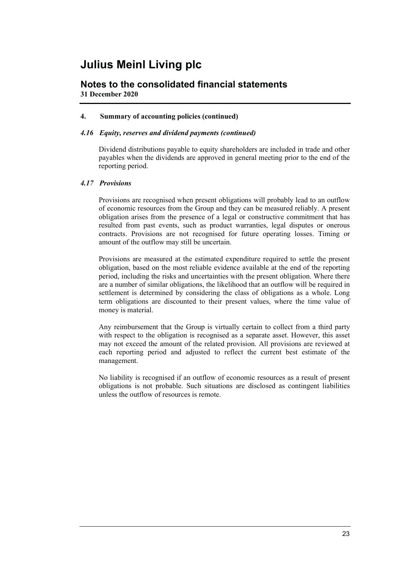# Notes to the consolidated financial statements 31 December 2020

## 4. Summary of accounting policies (continued)

### *4.16 Equity, reserves and dividend payments (continued)*

Dividend distributions payable to equity shareholders are included in trade and other payables when the dividends are approved in general meeting prior to the end of the reporting period.

## *4.17 Provisions*

Provisions are recognised when present obligations will probably lead to an outflow of economic resources from the Group and they can be measured reliably. A present obligation arises from the presence of a legal or constructive commitment that has resulted from past events, such as product warranties, legal disputes or onerous contracts. Provisions are not recognised for future operating losses. Timing or amount of the outflow may still be uncertain.

Provisions are measured at the estimated expenditure required to settle the present obligation, based on the most reliable evidence available at the end of the reporting period, including the risks and uncertainties with the present obligation. Where there are a number of similar obligations, the likelihood that an outflow will be required in settlement is determined by considering the class of obligations as a whole. Long term obligations are discounted to their present values, where the time value of money is material.

Any reimbursement that the Group is virtually certain to collect from a third party with respect to the obligation is recognised as a separate asset. However, this asset may not exceed the amount of the related provision. All provisions are reviewed at each reporting period and adjusted to reflect the current best estimate of the management.

No liability is recognised if an outflow of economic resources as a result of present obligations is not probable. Such situations are disclosed as contingent liabilities unless the outflow of resources is remote.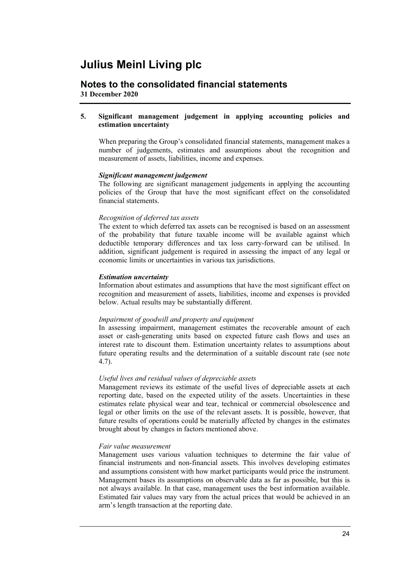Notes to the consolidated financial statements 31 December 2020

## 5. Significant management judgement in applying accounting policies and estimation uncertainty

When preparing the Group's consolidated financial statements, management makes a number of judgements, estimates and assumptions about the recognition and measurement of assets, liabilities, income and expenses.

### *Significant management judgement*

The following are significant management judgements in applying the accounting policies of the Group that have the most significant effect on the consolidated financial statements.

#### *Recognition of deferred tax assets*

The extent to which deferred tax assets can be recognised is based on an assessment of the probability that future taxable income will be available against which deductible temporary differences and tax loss carry-forward can be utilised. In addition, significant judgement is required in assessing the impact of any legal or economic limits or uncertainties in various tax jurisdictions.

### *Estimation uncertainty*

Information about estimates and assumptions that have the most significant effect on recognition and measurement of assets, liabilities, income and expenses is provided below. Actual results may be substantially different.

#### *Impairment of goodwill and property and equipment*

In assessing impairment, management estimates the recoverable amount of each asset or cash-generating units based on expected future cash flows and uses an interest rate to discount them. Estimation uncertainty relates to assumptions about future operating results and the determination of a suitable discount rate (see note 4.7).

#### *Useful lives and residual values of depreciable assets*

Management reviews its estimate of the useful lives of depreciable assets at each reporting date, based on the expected utility of the assets. Uncertainties in these estimates relate physical wear and tear, technical or commercial obsolescence and legal or other limits on the use of the relevant assets. It is possible, however, that future results of operations could be materially affected by changes in the estimates brought about by changes in factors mentioned above.

### *Fair value measurement*

Management uses various valuation techniques to determine the fair value of financial instruments and non-financial assets. This involves developing estimates and assumptions consistent with how market participants would price the instrument. Management bases its assumptions on observable data as far as possible, but this is not always available. In that case, management uses the best information available. Estimated fair values may vary from the actual prices that would be achieved in an arm's length transaction at the reporting date.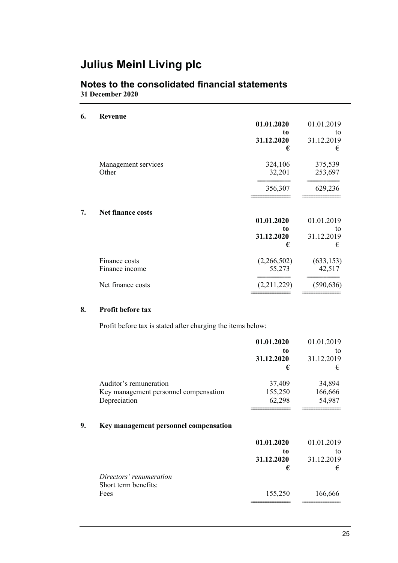# Notes to the consolidated financial statements 31 December 2020

| 6. | Revenue                         | 01.01.2020<br>to<br>31.12.2020<br>€ | 01.01.2019<br>to<br>31.12.2019<br>€ |
|----|---------------------------------|-------------------------------------|-------------------------------------|
|    | Management services<br>Other    | 324,106<br>32,201                   | 375,539<br>253,697                  |
| 7. | <b>Net finance costs</b>        | 356,307<br>01.01.2020               | 629,236<br>01.01.2019               |
|    |                                 | to<br>31.12.2020<br>€               | to<br>31.12.2019<br>€               |
|    | Finance costs<br>Finance income | (2,266,502)<br>55,273               | (633, 153)<br>42,517                |
|    | Net finance costs               | (2,211,229)                         | (590, 636)                          |

## 8. Profit before tax

Profit before tax is stated after charging the items below:

|    |                                       | 01.01.2020 | 01.01.2019 |
|----|---------------------------------------|------------|------------|
|    |                                       | to         | to         |
|    |                                       | 31.12.2020 | 31.12.2019 |
|    |                                       | €          | €          |
|    | Auditor's remuneration                | 37,409     | 34,894     |
|    | Key management personnel compensation | 155,250    | 166,666    |
|    | Depreciation                          | 62,298     | 54,987     |
| 9. | Key management personnel compensation |            |            |
|    |                                       | 01.01.2020 | 01.01.2019 |
|    |                                       | to         | to         |
|    |                                       | 31.12.2020 | 31.12.2019 |
|    |                                       | €          | €          |
|    | Directors' renumeration               |            |            |
|    | Short term benefits:                  |            |            |
|    | Fees                                  | 155,250    | 166,666    |
|    |                                       |            |            |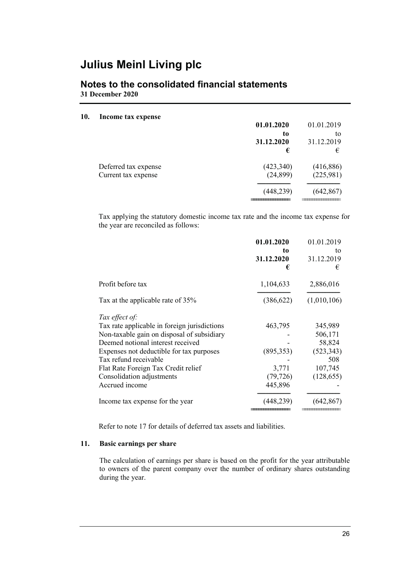# Notes to the consolidated financial statements 31 December 2020

| 10. | Income tax expense   |            |            |
|-----|----------------------|------------|------------|
|     |                      | 01.01.2020 | 01.01.2019 |
|     |                      | to         | to         |
|     |                      | 31.12.2020 | 31.12.2019 |
|     |                      | €          | €          |
|     | Deferred tax expense | (423,340)  | (416, 886) |
|     | Current tax expense  | (24,899)   | (225,981)  |
|     |                      | (448, 239) | (642, 867) |
|     |                      |            |            |

Tax applying the statutory domestic income tax rate and the income tax expense for the year are reconciled as follows:

|                                              | 01.01.2020<br>to<br>31.12.2020<br>€ | 01.01.2019<br>tο<br>31.12.2019<br>€ |
|----------------------------------------------|-------------------------------------|-------------------------------------|
| Profit before tax                            | 1,104,633                           | 2,886,016                           |
| Tax at the applicable rate of 35%            | (386, 622)                          | (1,010,106)                         |
| Tax effect of:                               |                                     |                                     |
| Tax rate applicable in foreign jurisdictions | 463,795                             | 345,989                             |
| Non-taxable gain on disposal of subsidiary   |                                     | 506,171                             |
| Deemed notional interest received            |                                     | 58,824                              |
| Expenses not deductible for tax purposes     | (895, 353)                          | (523, 343)                          |
| Tax refund receivable                        |                                     | 508                                 |
| Flat Rate Foreign Tax Credit relief          | 3,771                               | 107,745                             |
| Consolidation adjustments                    | (79, 726)                           | (128, 655)                          |
| Accrued income                               | 445,896                             |                                     |
| Income tax expense for the year              | (448, 239)                          | (642, 867)                          |

Refer to note 17 for details of deferred tax assets and liabilities.

## 11. Basic earnings per share

The calculation of earnings per share is based on the profit for the year attributable to owners of the parent company over the number of ordinary shares outstanding during the year.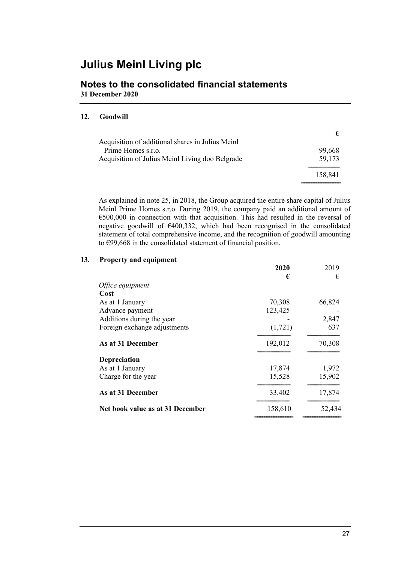# Notes to the consolidated financial statements 31 December 2020

### 12. Goodwill

| 99,668  |
|---------|
| 59,173  |
| 158.841 |
|         |

As explained in note 25, in 2018, the Group acquired the entire share capital of Julius Meinl Prime Homes s.r.o. During 2019, the company paid an additional amount of  $€500,000$  in connection with that acquisition. This had resulted in the reversal of negative goodwill of €400,332, which had been recognised in the consolidated statement of total comprehensive income, and the recognition of goodwill amounting to €99,668 in the consolidated statement of financial position.

## 13. Property and equipment

| 2020    | 2019   |
|---------|--------|
| €       | €      |
|         |        |
|         |        |
| 70,308  | 66,824 |
| 123,425 |        |
|         | 2,847  |
| (1,721) | 637    |
| 192,012 | 70,308 |
|         |        |
| 17,874  | 1,972  |
| 15,528  | 15,902 |
| 33,402  | 17,874 |
| 158,610 | 52,434 |
|         |        |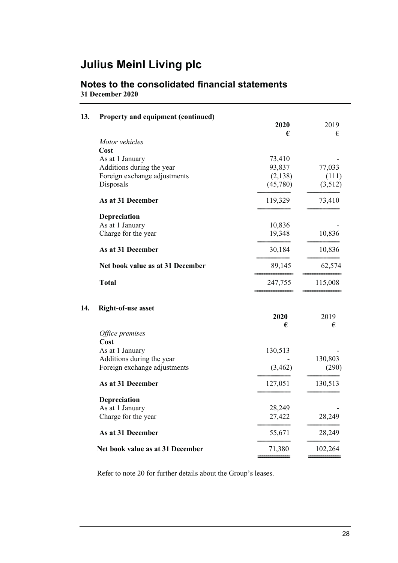# Notes to the consolidated financial statements 31 December 2020

| 13. | Property and equipment (continued)                        | 2020<br>€         | 2019<br>€       |
|-----|-----------------------------------------------------------|-------------------|-----------------|
|     | Motor vehicles                                            |                   |                 |
|     | Cost                                                      |                   |                 |
|     | As at 1 January                                           | 73,410            |                 |
|     | Additions during the year<br>Foreign exchange adjustments | 93,837<br>(2,138) | 77,033<br>(111) |
|     | Disposals                                                 | (45,780)          | (3,512)         |
|     | As at 31 December                                         | 119,329           | 73,410          |
|     | Depreciation                                              |                   |                 |
|     | As at 1 January                                           | 10,836            |                 |
|     | Charge for the year                                       | 19,348            | 10,836          |
|     | As at 31 December                                         | 30,184            | 10,836          |
|     | Net book value as at 31 December                          | 89,145            | 62,574          |
|     | <b>Total</b>                                              | 247,755           | 115,008         |
| 14. | <b>Right-of-use asset</b>                                 |                   |                 |
|     |                                                           | 2020              | 2019            |
|     | Office premises<br>Cost                                   | €                 | €               |
|     | As at 1 January                                           | 130,513           |                 |
|     | Additions during the year                                 |                   | 130,803         |
|     | Foreign exchange adjustments                              | (3, 462)          | (290)           |
|     | As at 31 December                                         | 127,051           | 130,513         |
|     | Depreciation                                              |                   |                 |
|     | As at 1 January                                           | 28,249            |                 |
|     | Charge for the year                                       | 27,422            | 28,249          |
|     | As at 31 December                                         | 55,671            | 28,249          |
|     | Net book value as at 31 December                          | 71,380            | 102,264         |
|     |                                                           |                   |                 |

Refer to note 20 for further details about the Group's leases.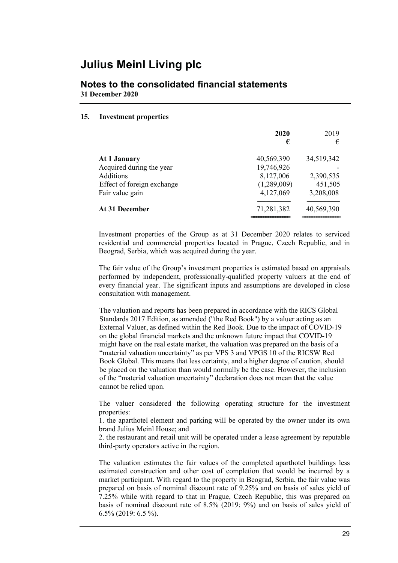## Notes to the consolidated financial statements 31 December 2020

#### 15. Investment properties

|                            | 2020<br>€   | 2019<br>€  |
|----------------------------|-------------|------------|
| At 1 January               | 40,569,390  | 34,519,342 |
| Acquired during the year   | 19,746,926  |            |
| <b>Additions</b>           | 8,127,006   | 2,390,535  |
| Effect of foreign exchange | (1,289,009) | 451,505    |
| Fair value gain            | 4,127,069   | 3,208,008  |
| At 31 December             | 71,281,382  | 40,569,390 |
|                            |             |            |

Investment properties of the Group as at 31 December 2020 relates to serviced residential and commercial properties located in Prague, Czech Republic, and in Beograd, Serbia, which was acquired during the year.

The fair value of the Group's investment properties is estimated based on appraisals performed by independent, professionally-qualified property valuers at the end of every financial year. The significant inputs and assumptions are developed in close consultation with management.

The valuation and reports has been prepared in accordance with the RICS Global Standards 2017 Edition, as amended ("the Red Book") by a valuer acting as an External Valuer, as defined within the Red Book. Due to the impact of COVID-19 on the global financial markets and the unknown future impact that COVID-19 might have on the real estate market, the valuation was prepared on the basis of a "material valuation uncertainty" as per VPS 3 and VPGS 10 of the RICSW Red Book Global. This means that less certainty, and a higher degree of caution, should be placed on the valuation than would normally be the case. However, the inclusion of the "material valuation uncertainty" declaration does not mean that the value cannot be relied upon.

The valuer considered the following operating structure for the investment properties:

1. the aparthotel element and parking will be operated by the owner under its own brand Julius Meinl House; and

2. the restaurant and retail unit will be operated under a lease agreement by reputable third-party operators active in the region.

The valuation estimates the fair values of the completed aparthotel buildings less estimated construction and other cost of completion that would be incurred by a market participant. With regard to the property in Beograd, Serbia, the fair value was prepared on basis of nominal discount rate of 9.25% and on basis of sales yield of 7.25% while with regard to that in Prague, Czech Republic, this was prepared on basis of nominal discount rate of 8.5% (2019: 9%) and on basis of sales yield of 6.5% (2019: 6.5 %).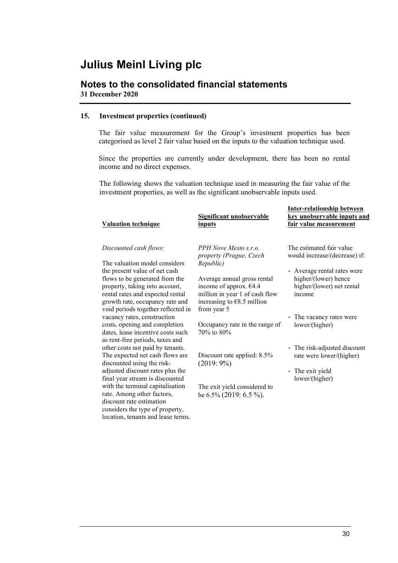## Notes to the consolidated financial statements 31 December 2020

### 15. Investment properties (continued)

with the terminal capitalisation rate. Among other factors, discount rate estimation considers the type of property, location, tenants and lease terms.

The fair value measurement for the Group's investment properties has been categorised as level 2 fair value based on the inputs to the valuation technique used.

Since the properties are currently under development, there has been no rental income and no direct expenses.

The following shows the valuation technique used in measuring the fair value of the investment properties, as well as the significant unobservable inputs used.

#### Valuation technique Significant unobservable inputs key unobservable inputs and fair value measurement *Discounted cash flows:*  The valuation model considers the present value of net cash flows to be generated from the property, taking into account, rental rates and expected rental growth rate, occupancy rate and void periods together reflected in vacancy rates, construction costs, opening and completion dates, lease incentive costs such as rent-free periods, taxes and other costs not paid by tenants. The expected net cash flows are discounted using the riskadjusted discount rates plus the final year stream is discounted *PPH Nove Mesto s.r.o. property (Prague, Czech Republic)*  Average annual gross rental income of approx. €4.4 million in year 1 of cash flow increasing to €8.5 million from year 5 Occupancy rate in the range of 70% to 80% Discount rate applied: 8.5% (2019: 9%) The estimated fair value would increase/(decrease) if: - Average rental rates were higher/(lower) hence higher/(lower) net rental income - The vacancy rates were lower/(higher) - The risk-adjusted discount rate were lower/(higher) - The exit yield lower/(higher)

The exit yield considered to be 6.5% (2019: 6.5 %).

Inter-relationship between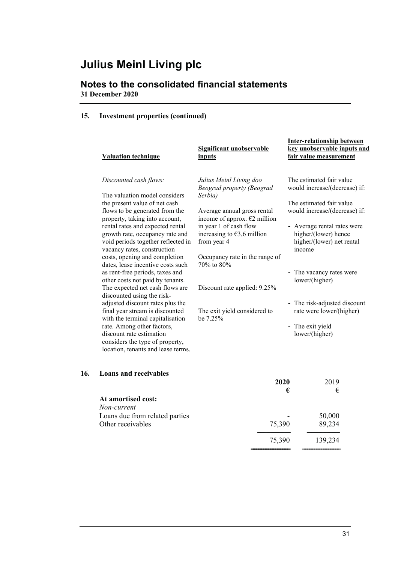# Notes to the consolidated financial statements 31 December 2020

## 15. Investment properties (continued)

 $16.$ 

| <b>Valuation technique</b>                                                                                                                                                                                                                                                                                                                                                                                                                                                                                                                                                                                                                                                                                                                                           | Significant unobservable<br><i>inputs</i>                                                                                                                                                                                                                                                                                                    | <b>Inter-relationship between</b><br>key unobservable inputs and<br>fair value measurement                                                                                                                                                                                                                                                                           |
|----------------------------------------------------------------------------------------------------------------------------------------------------------------------------------------------------------------------------------------------------------------------------------------------------------------------------------------------------------------------------------------------------------------------------------------------------------------------------------------------------------------------------------------------------------------------------------------------------------------------------------------------------------------------------------------------------------------------------------------------------------------------|----------------------------------------------------------------------------------------------------------------------------------------------------------------------------------------------------------------------------------------------------------------------------------------------------------------------------------------------|----------------------------------------------------------------------------------------------------------------------------------------------------------------------------------------------------------------------------------------------------------------------------------------------------------------------------------------------------------------------|
| Discounted cash flows:<br>The valuation model considers<br>the present value of net cash<br>flows to be generated from the<br>property, taking into account,<br>rental rates and expected rental<br>growth rate, occupancy rate and<br>void periods together reflected in<br>vacancy rates, construction<br>costs, opening and completion<br>dates, lease incentive costs such<br>as rent-free periods, taxes and<br>other costs not paid by tenants.<br>The expected net cash flows are<br>discounted using the risk-<br>adjusted discount rates plus the<br>final year stream is discounted<br>with the terminal capitalisation<br>rate. Among other factors,<br>discount rate estimation<br>considers the type of property,<br>location, tenants and lease terms. | Julius Meinl Living doo<br><b>Beograd property (Beograd</b><br>Serbia)<br>Average annual gross rental<br>income of approx. $E2$ million<br>in year 1 of cash flow<br>increasing to $63,6$ million<br>from year 4<br>Occupancy rate in the range of<br>70% to 80%<br>Discount rate applied: 9.25%<br>The exit yield considered to<br>be 7.25% | The estimated fair value<br>would increase/(decrease) if:<br>The estimated fair value<br>would increase/(decrease) if:<br>- Average rental rates were<br>higher/(lower) hence<br>higher/(lower) net rental<br>income<br>- The vacancy rates were<br>lower/(higher)<br>- The risk-adjusted discount<br>rate were lower/(higher)<br>- The exit yield<br>lower/(higher) |
| <b>Loans and receivables</b>                                                                                                                                                                                                                                                                                                                                                                                                                                                                                                                                                                                                                                                                                                                                         | 2020                                                                                                                                                                                                                                                                                                                                         | 2019                                                                                                                                                                                                                                                                                                                                                                 |
| At amortised cost:<br>Non-current<br>Loans due from related parties<br>Other receivables                                                                                                                                                                                                                                                                                                                                                                                                                                                                                                                                                                                                                                                                             | 75,390                                                                                                                                                                                                                                                                                                                                       | €<br>€<br>50,000<br>89,234                                                                                                                                                                                                                                                                                                                                           |

75,390 139,234

================ ================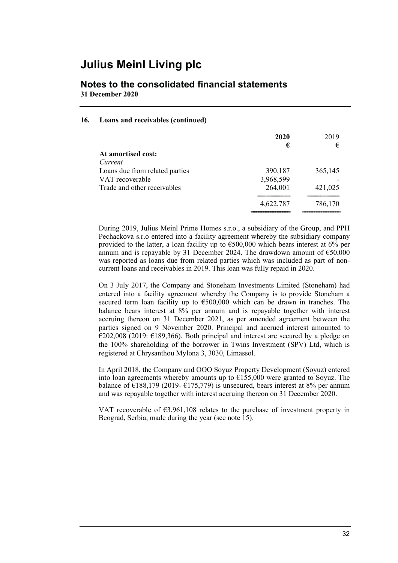## Notes to the consolidated financial statements 31 December 2020

### 16. Loans and receivables (continued)

|                                | 2020<br>€ | 2019<br>€ |
|--------------------------------|-----------|-----------|
| At amortised cost:             |           |           |
| Current                        |           |           |
| Loans due from related parties | 390,187   | 365,145   |
| VAT recoverable                | 3,968,599 |           |
| Trade and other receivables    | 264,001   | 421,025   |
|                                | 4,622,787 | 786,170   |
|                                |           |           |

During 2019, Julius Meinl Prime Homes s.r.o., a subsidiary of the Group, and PPH Pechackova s.r.o entered into a facility agreement whereby the subsidiary company provided to the latter, a loan facility up to  $\epsilon$ 500,000 which bears interest at 6% per annum and is repayable by 31 December 2024. The drawdown amount of  $\epsilon$ 50,000 was reported as loans due from related parties which was included as part of noncurrent loans and receivables in 2019. This loan was fully repaid in 2020.

On 3 July 2017, the Company and Stoneham Investments Limited (Stoneham) had entered into a facility agreement whereby the Company is to provide Stoneham a secured term loan facility up to  $6500,000$  which can be drawn in tranches. The balance bears interest at 8% per annum and is repayable together with interest accruing thereon on 31 December 2021, as per amended agreement between the parties signed on 9 November 2020. Principal and accrued interest amounted to  $\epsilon$ 202,008 (2019:  $\epsilon$ 189,366). Both principal and interest are secured by a pledge on the 100% shareholding of the borrower in Twins Investment (SPV) Ltd, which is registered at Chrysanthou Mylona 3, 3030, Limassol.

In April 2018, the Company and OOO Soyuz Property Development (Soyuz) entered into loan agreements whereby amounts up to  $\epsilon 155,000$  were granted to Soyuz. The balance of  $\epsilon$ 188,179 (2019- $\epsilon$ 175,779) is unsecured, bears interest at 8% per annum and was repayable together with interest accruing thereon on 31 December 2020.

VAT recoverable of  $63,961,108$  relates to the purchase of investment property in Beograd, Serbia, made during the year (see note 15).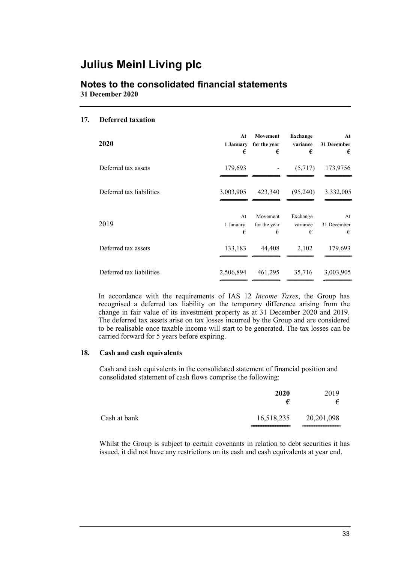## Notes to the consolidated financial statements 31 December 2020

### 17. Deferred taxation

| 2020                     | At<br>1 January<br>€ | Movement<br>for the year<br>€ | <b>Exchange</b><br>variance<br>€ | At<br>31 December<br>€ |
|--------------------------|----------------------|-------------------------------|----------------------------------|------------------------|
| Deferred tax assets      | 179,693              |                               | (5,717)                          | 173,9756               |
| Deferred tax liabilities | 3,003,905            | 423,340                       | (95,240)                         | 3.332,005              |
| 2019                     | At<br>1 January<br>€ | Movement<br>for the year<br>€ | Exchange<br>variance<br>€        | At<br>31 December<br>€ |
| Deferred tax assets      | 133,183              | 44,408                        | 2,102                            | 179,693                |
| Deferred tax liabilities | 2,506,894            | 461,295                       | 35,716                           | 3,003,905              |

In accordance with the requirements of IAS 12 *Income Taxes*, the Group has recognised a deferred tax liability on the temporary difference arising from the change in fair value of its investment property as at 31 December 2020 and 2019. The deferred tax assets arise on tax losses incurred by the Group and are considered to be realisable once taxable income will start to be generated. The tax losses can be carried forward for 5 years before expiring.

### 18. Cash and cash equivalents

Cash and cash equivalents in the consolidated statement of financial position and consolidated statement of cash flows comprise the following:

|              | 2020<br>€  | 2019<br>€  |
|--------------|------------|------------|
| Cash at bank | 16,518,235 | 20,201,098 |

Whilst the Group is subject to certain covenants in relation to debt securities it has issued, it did not have any restrictions on its cash and cash equivalents at year end.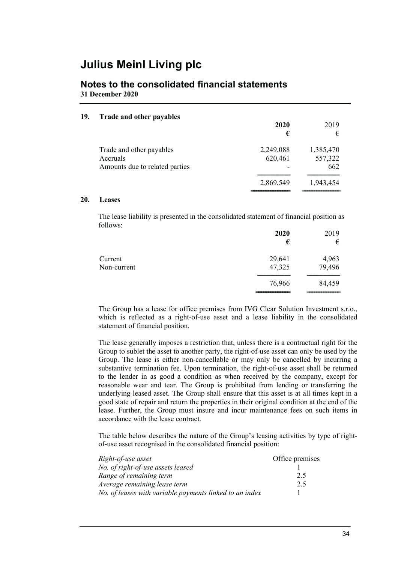## Notes to the consolidated financial statements 31 December 2020

| 19. | Trade and other payables       |           |           |
|-----|--------------------------------|-----------|-----------|
|     |                                | 2020      | 2019      |
|     |                                | €         | €         |
|     | Trade and other payables       | 2,249,088 | 1,385,470 |
|     | Accruals                       | 620,461   | 557,322   |
|     | Amounts due to related parties |           | 662       |
|     |                                | 2,869,549 | 1,943,454 |
|     |                                |           |           |

### 20. Leases

The lease liability is presented in the consolidated statement of financial position as follows:

|             | 2020   | 2019   |
|-------------|--------|--------|
|             | €      | €      |
| Current     | 29,641 | 4,963  |
| Non-current | 47,325 | 79,496 |
|             | 76,966 | 84,459 |
|             |        |        |

The Group has a lease for office premises from IVG Clear Solution Investment s.r.o., which is reflected as a right-of-use asset and a lease liability in the consolidated statement of financial position.

The lease generally imposes a restriction that, unless there is a contractual right for the Group to sublet the asset to another party, the right-of-use asset can only be used by the Group. The lease is either non-cancellable or may only be cancelled by incurring a substantive termination fee. Upon termination, the right-of-use asset shall be returned to the lender in as good a condition as when received by the company, except for reasonable wear and tear. The Group is prohibited from lending or transferring the underlying leased asset. The Group shall ensure that this asset is at all times kept in a good state of repair and return the properties in their original condition at the end of the lease. Further, the Group must insure and incur maintenance fees on such items in accordance with the lease contract.

The table below describes the nature of the Group's leasing activities by type of rightof-use asset recognised in the consolidated financial position:

| Right-of-use asset                                      | Office premises |
|---------------------------------------------------------|-----------------|
| No. of right-of-use assets leased                       |                 |
| Range of remaining term                                 | 2.5             |
| Average remaining lease term                            | 2.5             |
| No. of leases with variable payments linked to an index |                 |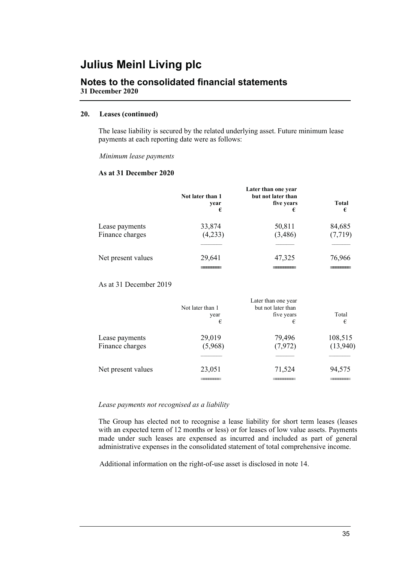## Notes to the consolidated financial statements 31 December 2020

### 20. Leases (continued)

The lease liability is secured by the related underlying asset. Future minimum lease payments at each reporting date were as follows:

 *Minimum lease payments* 

## As at 31 December 2020

|                                   | Not later than 1<br>year<br>€ | Later than one year<br>but not later than<br>five years<br>€ | <b>Total</b><br>€  |
|-----------------------------------|-------------------------------|--------------------------------------------------------------|--------------------|
| Lease payments<br>Finance charges | 33,874<br>(4,233)             | 50,811<br>(3,486)                                            | 84,685<br>(7, 719) |
|                                   |                               |                                                              |                    |
| Net present values                | 29,641                        | 47,325                                                       | 76,966             |
|                                   |                               |                                                              |                    |

### As at 31 December 2019

|                                   | Not later than 1<br>year<br>€ | Later than one year<br>but not later than<br>five years<br>€ | Total<br>€          |
|-----------------------------------|-------------------------------|--------------------------------------------------------------|---------------------|
| Lease payments<br>Finance charges | 29,019<br>(5,968)             | 79,496<br>(7,972)                                            | 108,515<br>(13,940) |
|                                   |                               |                                                              |                     |
| Net present values                | 23,051                        | 71,524                                                       | 94,575              |
|                                   |                               |                                                              |                     |

#### *Lease payments not recognised as a liability*

The Group has elected not to recognise a lease liability for short term leases (leases with an expected term of 12 months or less) or for leases of low value assets. Payments made under such leases are expensed as incurred and included as part of general administrative expenses in the consolidated statement of total comprehensive income.

Additional information on the right-of-use asset is disclosed in note 14.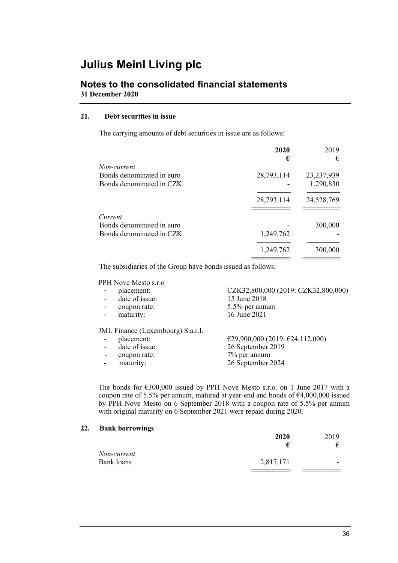# Notes to the consolidated financial statements 31 December 2020

### 21. Debt securities in issue

The carrying amounts of debt securities in issue are as follows:

|                           | 2020<br>€  | 2019<br>€    |
|---------------------------|------------|--------------|
| Non-current               |            |              |
| Bonds denominated in euro | 28,793,114 | 23, 237, 939 |
| Bonds denominated in CZK  |            | 1,290,830    |
|                           | 28,793,114 | 24,528,769   |
| Current                   |            |              |
| Bonds denominated in euro |            | 300,000      |
| Bonds denominated in CZK  | 1,249,762  |              |
|                           | 1,249,762  | 300,000      |

The subsidiaries of the Group have bonds issued as follows:

PPH Nove Mesto s.r.o

| placement:                                      | CZK32,800,000 (2019: CZK32,800,000) |
|-------------------------------------------------|-------------------------------------|
| date of issue:                                  | 15 June 2018                        |
| coupon rate:                                    | 5.5% per annum                      |
| maturity:                                       | 16 June 2021                        |
| JML Finance (Luxembourg) S.a.r.l.<br>placement: | €29,900,000 (2019: €24,112,000)     |

|  | date of issue: |  |
|--|----------------|--|
|  |                |  |

- 
- 

26 September 2019 - coupon rate:  $7\%$  per annum<br>- maturity: 26 September 2 26 September 2024

The bonds for €300,000 issued by PPH Nove Mesto s.r.o. on 1 June 2017 with a coupon rate of 5.5% per annum, matured at year-end and bonds of  $\epsilon$ 4,000,000 issued by PPH Nove Mesto on 6 September 2018 with a coupon rate of 5.5% per annum with original maturity on 6 September 2021 were repaid during 2020.

### 22. Bank borrowings

|             | 2020      | 2019 |
|-------------|-----------|------|
|             | €         | €    |
| Non-current |           |      |
| Bank loans  | 2,817,171 |      |
|             |           |      |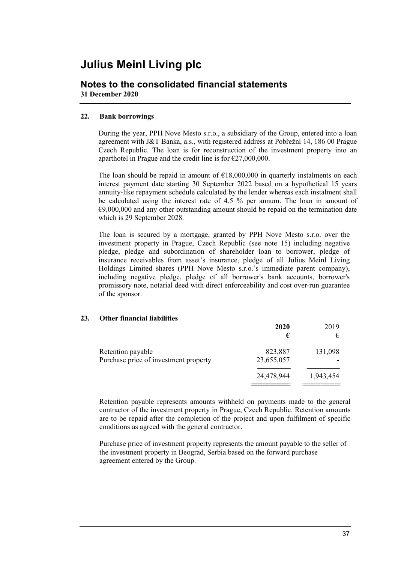# Notes to the consolidated financial statements 31 December 2020

## 22. Bank borrowings

During the year, PPH Nove Mesto s.r.o., a subsidiary of the Group, entered into a loan agreement with J&T Banka, a.s., with registered address at Pobřežní 14, 186 00 Prague Czech Republic. The loan is for reconstruction of the investment property into an aparthotel in Prague and the credit line is for €27,000,000.

The loan should be repaid in amount of  $E18,000,000$  in quarterly instalments on each interest payment date starting 30 September 2022 based on a hypothetical 15 years annuity-like repayment schedule calculated by the lender whereas each instalment shall be calculated using the interest rate of 4.5 % per annum. The loan in amount of  $\epsilon$ 9,000,000 and any other outstanding amount should be repaid on the termination date which is 29 September 2028.

The loan is secured by a mortgage, granted by PPH Nove Mesto s.r.o. over the investment property in Prague, Czech Republic (see note 15) including negative pledge, pledge and subordination of shareholder loan to borrower, pledge of insurance receivables from asset's insurance, pledge of all Julius Meinl Living Holdings Limited shares (PPH Nove Mesto s.r.o.'s immediate parent company), including negative pledge, pledge of all borrower's bank accounts, borrower's promissory note, notarial deed with direct enforceability and cost over-run guarantee of the sponsor.

## 23. Other financial liabilities

|                                                            | 2020<br>€             | 2019<br>€ |
|------------------------------------------------------------|-----------------------|-----------|
| Retention payable<br>Purchase price of investment property | 823,887<br>23,655,057 | 131,098   |
|                                                            | 24,478,944            | 1,943,454 |

Retention payable represents amounts withheld on payments made to the general contractor of the investment property in Prague, Czech Republic. Retention amounts are to be repaid after the completion of the project and upon fulfilment of specific conditions as agreed with the general contractor.

Purchase price of investment property represents the amount payable to the seller of the investment property in Beograd, Serbia based on the forward purchase agreement entered by the Group.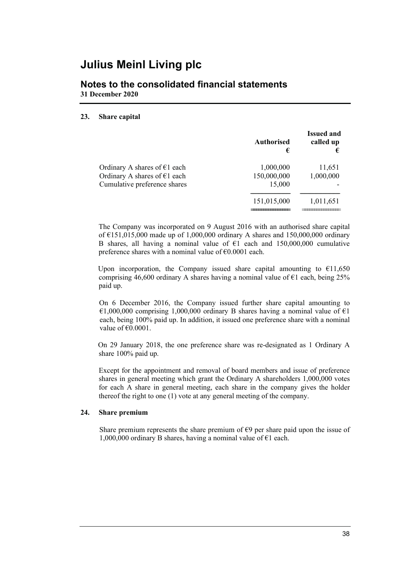## Notes to the consolidated financial statements 31 December 2020

### 23. Share capital

|                                                                                                          | <b>Authorised</b><br>€             | <b>Issued and</b><br>called up |
|----------------------------------------------------------------------------------------------------------|------------------------------------|--------------------------------|
| Ordinary A shares of $\epsilon$ 1 each<br>Ordinary A shares of $E1$ each<br>Cumulative preference shares | 1,000,000<br>150,000,000<br>15,000 | 11,651<br>1,000,000            |
|                                                                                                          | 151,015,000                        | 1,011,651                      |

The Company was incorporated on 9 August 2016 with an authorised share capital of €151,015,000 made up of 1,000,000 ordinary A shares and 150,000,000 ordinary B shares, all having a nominal value of  $\epsilon$ 1 each and 150,000,000 cumulative preference shares with a nominal value of  $\epsilon$ 0.0001 each.

Upon incorporation, the Company issued share capital amounting to  $£11,650$ comprising 46,600 ordinary A shares having a nominal value of  $\epsilon$ 1 each, being 25% paid up.

On 6 December 2016, the Company issued further share capital amounting to €1,000,000 comprising 1,000,000 ordinary B shares having a nominal value of €1 each, being 100% paid up. In addition, it issued one preference share with a nominal value of  $\epsilon 0.0001$ .

On 29 January 2018, the one preference share was re-designated as 1 Ordinary A share 100% paid up.

Except for the appointment and removal of board members and issue of preference shares in general meeting which grant the Ordinary A shareholders 1,000,000 votes for each A share in general meeting, each share in the company gives the holder thereof the right to one (1) vote at any general meeting of the company.

### 24. Share premium

Share premium represents the share premium of  $\epsilon$ 9 per share paid upon the issue of 1,000,000 ordinary B shares, having a nominal value of  $\epsilon$ 1 each.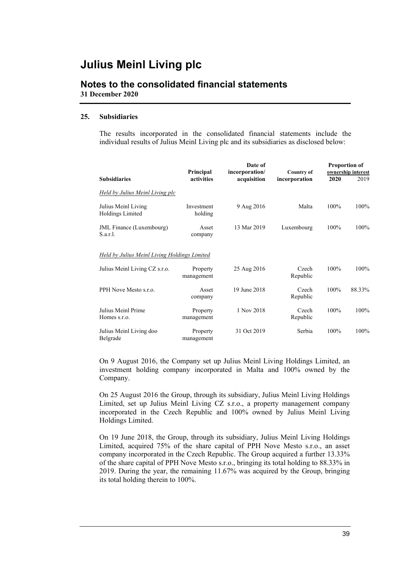## Notes to the consolidated financial statements 31 December 2020

### 25. Subsidiaries

The results incorporated in the consolidated financial statements include the individual results of Julius Meinl Living plc and its subsidiaries as disclosed below:

| <b>Subsidiaries</b>                                 | Principal<br>activities | Date of<br>incorporation/<br>acquisition | <b>Country of</b><br>incorporation | 2020    | <b>Proportion of</b><br>ownership interest<br>2019 |
|-----------------------------------------------------|-------------------------|------------------------------------------|------------------------------------|---------|----------------------------------------------------|
| <b>Held by Julius Meinl Living plc</b>              |                         |                                          |                                    |         |                                                    |
| Julius Meinl Living<br>Holdings Limited             | Investment<br>holding   | 9 Aug 2016                               | Malta                              | 100%    | 100%                                               |
| <b>JML</b> Finance (Luxembourg)<br>S.a.r.l.         | Asset<br>company        | 13 Mar 2019                              | Luxembourg                         | $100\%$ | 100%                                               |
| <b>Held by Julius Meinl Living Holdings Limited</b> |                         |                                          |                                    |         |                                                    |
| Julius Meinl Living CZ s.r.o.                       | Property<br>management  | 25 Aug 2016                              | Czech<br>Republic                  | 100%    | 100%                                               |
| PPH Nove Mesto s.r.o.                               | Asset<br>company        | 19 June 2018                             | Czech<br>Republic                  | 100%    | 88.33%                                             |
| Julius Meinl Prime<br>Homes s.r.o.                  | Property<br>management  | 1 Nov 2018                               | Czech<br>Republic                  | 100%    | 100%                                               |
| Julius Meinl Living doo<br>Belgrade                 | Property<br>management  | 31 Oct 2019                              | Serbia                             | 100%    | 100%                                               |

On 9 August 2016, the Company set up Julius Meinl Living Holdings Limited, an investment holding company incorporated in Malta and 100% owned by the Company.

On 25 August 2016 the Group, through its subsidiary, Julius Meinl Living Holdings Limited, set up Julius Meinl Living CZ s.r.o., a property management company incorporated in the Czech Republic and 100% owned by Julius Meinl Living Holdings Limited.

On 19 June 2018, the Group, through its subsidiary, Julius Meinl Living Holdings Limited, acquired 75% of the share capital of PPH Nove Mesto s.r.o., an asset company incorporated in the Czech Republic. The Group acquired a further 13.33% of the share capital of PPH Nove Mesto s.r.o., bringing its total holding to 88.33% in 2019. During the year, the remaining 11.67% was acquired by the Group, bringing its total holding therein to 100%.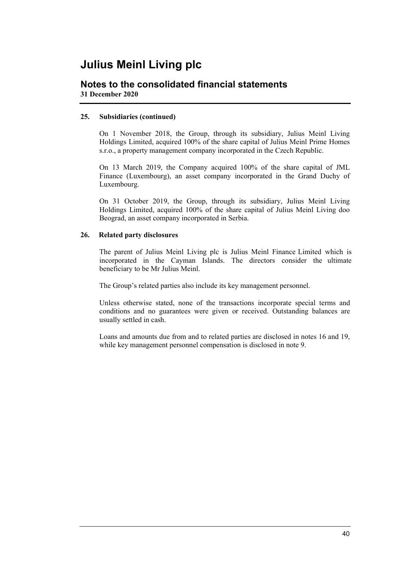# Notes to the consolidated financial statements 31 December 2020

## 25. Subsidiaries (continued)

On 1 November 2018, the Group, through its subsidiary, Julius Meinl Living Holdings Limited, acquired 100% of the share capital of Julius Meinl Prime Homes s.r.o., a property management company incorporated in the Czech Republic.

On 13 March 2019, the Company acquired 100% of the share capital of JML Finance (Luxembourg), an asset company incorporated in the Grand Duchy of Luxembourg.

On 31 October 2019, the Group, through its subsidiary, Julius Meinl Living Holdings Limited, acquired 100% of the share capital of Julius Meinl Living doo Beograd, an asset company incorporated in Serbia.

### 26. Related party disclosures

The parent of Julius Meinl Living plc is Julius Meinl Finance Limited which is incorporated in the Cayman Islands. The directors consider the ultimate beneficiary to be Mr Julius Meinl.

The Group's related parties also include its key management personnel.

Unless otherwise stated, none of the transactions incorporate special terms and conditions and no guarantees were given or received. Outstanding balances are usually settled in cash.

Loans and amounts due from and to related parties are disclosed in notes 16 and 19, while key management personnel compensation is disclosed in note 9.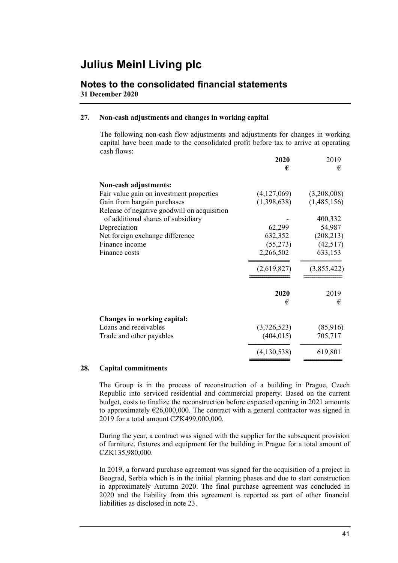# Notes to the consolidated financial statements 31 December 2020

### 27. Non-cash adjustments and changes in working capital

The following non-cash flow adjustments and adjustments for changes in working capital have been made to the consolidated profit before tax to arrive at operating cash flows: 2020 2019

| €           | €           |
|-------------|-------------|
|             |             |
| (4,127,069) | (3,208,008) |
| (1,398,638) | (1,485,156) |
|             |             |
|             | 400,332     |
| 62,299      | 54,987      |
| 632,352     | (208, 213)  |
| (55,273)    | (42,517)    |
| 2,266,502   | 633,153     |
| (2,619,827) | (3,855,422) |
| 2020        | 2019        |
| €           | €           |
|             |             |
| (3,726,523) | (85,916)    |
| (404, 015)  | 705,717     |
|             | 619,801     |
|             | (4,130,538) |

### 28. Capital commitments

The Group is in the process of reconstruction of a building in Prague, Czech Republic into serviced residential and commercial property. Based on the current budget, costs to finalize the reconstruction before expected opening in 2021 amounts to approximately  $\epsilon$ 26,000,000. The contract with a general contractor was signed in 2019 for a total amount CZK499,000,000.

During the year, a contract was signed with the supplier for the subsequent provision of furniture, fixtures and equipment for the building in Prague for a total amount of CZK135,980,000.

In 2019, a forward purchase agreement was signed for the acquisition of a project in Beograd, Serbia which is in the initial planning phases and due to start construction in approximately Autumn 2020. The final purchase agreement was concluded in 2020 and the liability from this agreement is reported as part of other financial liabilities as disclosed in note 23.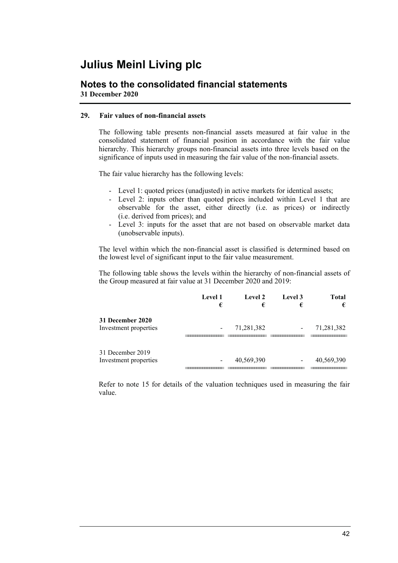# Notes to the consolidated financial statements 31 December 2020

### 29. Fair values of non-financial assets

The following table presents non-financial assets measured at fair value in the consolidated statement of financial position in accordance with the fair value hierarchy. This hierarchy groups non-financial assets into three levels based on the significance of inputs used in measuring the fair value of the non-financial assets.

The fair value hierarchy has the following levels:

- Level 1: quoted prices (unadjusted) in active markets for identical assets;
- Level 2: inputs other than quoted prices included within Level 1 that are observable for the asset, either directly (i.e. as prices) or indirectly (i.e. derived from prices); and
- Level 3: inputs for the asset that are not based on observable market data (unobservable inputs).

The level within which the non-financial asset is classified is determined based on the lowest level of significant input to the fair value measurement.

The following table shows the levels within the hierarchy of non-financial assets of the Group measured at fair value at 31 December 2020 and 2019:

|                                           | <b>Level 1</b><br>€      | Level 2<br>€ | Level 3<br>€ | <b>Total</b><br>€ |
|-------------------------------------------|--------------------------|--------------|--------------|-------------------|
| 31 December 2020<br>Investment properties | $\overline{\phantom{a}}$ | 71,281,382   |              | 71,281,382        |
| 31 December 2019<br>Investment properties |                          | 40,569,390   |              | 40,569,390        |

Refer to note 15 for details of the valuation techniques used in measuring the fair value.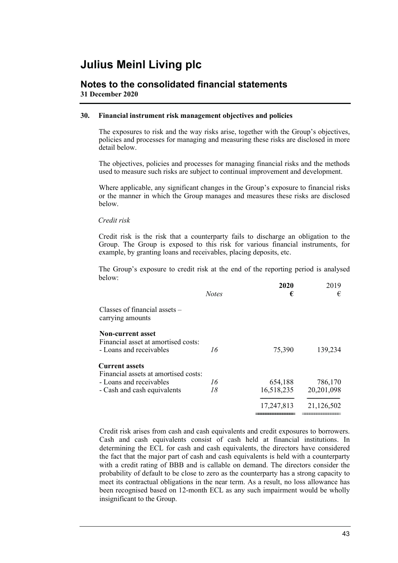# Notes to the consolidated financial statements 31 December 2020

### 30. Financial instrument risk management objectives and policies

The exposures to risk and the way risks arise, together with the Group's objectives, policies and processes for managing and measuring these risks are disclosed in more detail below.

The objectives, policies and processes for managing financial risks and the methods used to measure such risks are subject to continual improvement and development.

Where applicable, any significant changes in the Group's exposure to financial risks or the manner in which the Group manages and measures these risks are disclosed below.

### *Credit risk*

Credit risk is the risk that a counterparty fails to discharge an obligation to the Group. The Group is exposed to this risk for various financial instruments, for example, by granting loans and receivables, placing deposits, etc.

The Group's exposure to credit risk at the end of the reporting period is analysed below:

|                                                                                            | <b>Notes</b> | 2020<br>€             | 2019<br>€             |
|--------------------------------------------------------------------------------------------|--------------|-----------------------|-----------------------|
| Classes of financial assets $-$<br>carrying amounts                                        |              |                       |                       |
| <b>Non-current asset</b><br>Financial asset at amortised costs:<br>- Loans and receivables | 16           | 75,390                | 139,234               |
| <b>Current assets</b><br>Financial assets at amortised costs:<br>- Loans and receivables   | 16           |                       |                       |
| - Cash and cash equivalents                                                                | 18           | 654,188<br>16,518,235 | 786,170<br>20,201,098 |
|                                                                                            |              | 17,247,813            | 21,126,502            |

Credit risk arises from cash and cash equivalents and credit exposures to borrowers. Cash and cash equivalents consist of cash held at financial institutions. In determining the ECL for cash and cash equivalents, the directors have considered the fact that the major part of cash and cash equivalents is held with a counterparty with a credit rating of BBB and is callable on demand. The directors consider the probability of default to be close to zero as the counterparty has a strong capacity to meet its contractual obligations in the near term. As a result, no loss allowance has been recognised based on 12-month ECL as any such impairment would be wholly insignificant to the Group.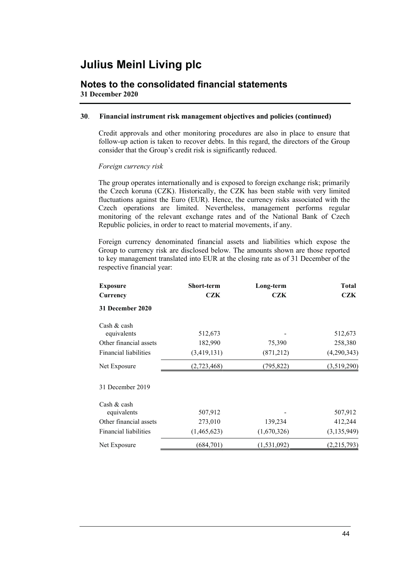# Notes to the consolidated financial statements 31 December 2020

### 30. Financial instrument risk management objectives and policies (continued)

Credit approvals and other monitoring procedures are also in place to ensure that follow-up action is taken to recover debts. In this regard, the directors of the Group consider that the Group's credit risk is significantly reduced.

### *Foreign currency risk*

The group operates internationally and is exposed to foreign exchange risk; primarily the Czech koruna (CZK). Historically, the CZK has been stable with very limited fluctuations against the Euro (EUR). Hence, the currency risks associated with the Czech operations are limited. Nevertheless, management performs regular monitoring of the relevant exchange rates and of the National Bank of Czech Republic policies, in order to react to material movements, if any.

Foreign currency denominated financial assets and liabilities which expose the Group to currency risk are disclosed below. The amounts shown are those reported to key management translated into EUR at the closing rate as of 31 December of the respective financial year:

| <b>Exposure</b><br>Currency  | Short-term<br><b>CZK</b> | Long-term<br><b>CZK</b> | <b>Total</b><br><b>CZK</b> |
|------------------------------|--------------------------|-------------------------|----------------------------|
| <b>31 December 2020</b>      |                          |                         |                            |
| Cash & cash                  |                          |                         |                            |
| equivalents                  | 512,673                  |                         | 512,673                    |
| Other financial assets       | 182,990                  | 75,390                  | 258,380                    |
| <b>Financial liabilities</b> | (3,419,131)              | (871,212)               | (4,290,343)                |
| Net Exposure                 | (2,723,468)              | (795, 822)              | (3,519,290)                |
| 31 December 2019             |                          |                         |                            |
| Cash & cash<br>equivalents   | 507,912                  |                         | 507,912                    |
| Other financial assets       | 273,010                  | 139,234                 | 412,244                    |
| Financial liabilities        | (1,465,623)              | (1,670,326)             | (3, 135, 949)              |
| Net Exposure                 | (684, 701)               | (1, 531, 092)           | (2,215,793)                |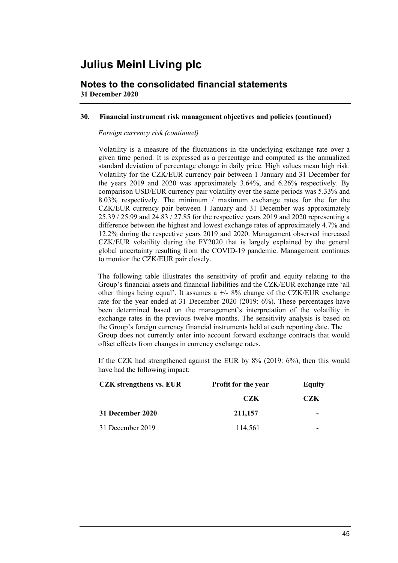# Notes to the consolidated financial statements 31 December 2020

### 30. Financial instrument risk management objectives and policies (continued)

*Foreign currency risk (continued)* 

Volatility is a measure of the fluctuations in the underlying exchange rate over a given time period. It is expressed as a percentage and computed as the annualized standard deviation of percentage change in daily price. High values mean high risk. Volatility for the CZK/EUR currency pair between 1 January and 31 December for the years 2019 and 2020 was approximately 3.64%, and 6.26% respectively. By comparison USD/EUR currency pair volatility over the same periods was 5.33% and 8.03% respectively. The minimum / maximum exchange rates for the for the CZK/EUR currency pair between 1 January and 31 December was approximately 25.39 / 25.99 and 24.83 / 27.85 for the respective years 2019 and 2020 representing a difference between the highest and lowest exchange rates of approximately 4.7% and 12.2% during the respective years 2019 and 2020. Management observed increased CZK/EUR volatility during the FY2020 that is largely explained by the general global uncertainty resulting from the COVID-19 pandemic. Management continues to monitor the CZK/EUR pair closely.

The following table illustrates the sensitivity of profit and equity relating to the Group's financial assets and financial liabilities and the CZK/EUR exchange rate 'all other things being equal'. It assumes a  $+/- 8\%$  change of the CZK/EUR exchange rate for the year ended at 31 December 2020 (2019: 6%). These percentages have been determined based on the management's interpretation of the volatility in exchange rates in the previous twelve months. The sensitivity analysis is based on the Group's foreign currency financial instruments held at each reporting date. The Group does not currently enter into account forward exchange contracts that would offset effects from changes in currency exchange rates.

If the CZK had strengthened against the EUR by 8% (2019: 6%), then this would have had the following impact:

| <b>CZK</b> strengthens vs. EUR | <b>Profit for the year</b> | <b>Equity</b> |  |
|--------------------------------|----------------------------|---------------|--|
|                                | CZK                        | CZK           |  |
| 31 December 2020               | 211,157                    | -             |  |
| 31 December 2019               | 114,561                    |               |  |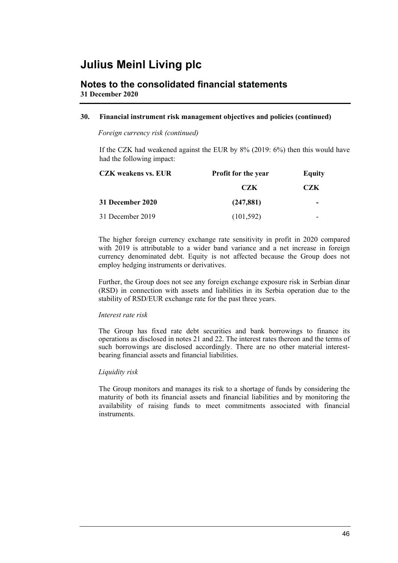# Notes to the consolidated financial statements 31 December 2020

### 30. Financial instrument risk management objectives and policies (continued)

*Foreign currency risk (continued)* 

If the CZK had weakened against the EUR by 8% (2019: 6%) then this would have had the following impact:

| <b>CZK</b> weakens vs. EUR | <b>Profit for the year</b> | <b>Equity</b> |
|----------------------------|----------------------------|---------------|
|                            | CZK                        | <b>CZK</b>    |
| 31 December 2020           | (247, 881)                 |               |
| 31 December 2019           | (101, 592)                 |               |

The higher foreign currency exchange rate sensitivity in profit in 2020 compared with 2019 is attributable to a wider band variance and a net increase in foreign currency denominated debt. Equity is not affected because the Group does not employ hedging instruments or derivatives.

Further, the Group does not see any foreign exchange exposure risk in Serbian dinar (RSD) in connection with assets and liabilities in its Serbia operation due to the stability of RSD/EUR exchange rate for the past three years.

### *Interest rate risk*

The Group has fixed rate debt securities and bank borrowings to finance its operations as disclosed in notes 21 and 22. The interest rates thereon and the terms of such borrowings are disclosed accordingly. There are no other material interestbearing financial assets and financial liabilities.

### *Liquidity risk*

The Group monitors and manages its risk to a shortage of funds by considering the maturity of both its financial assets and financial liabilities and by monitoring the availability of raising funds to meet commitments associated with financial instruments.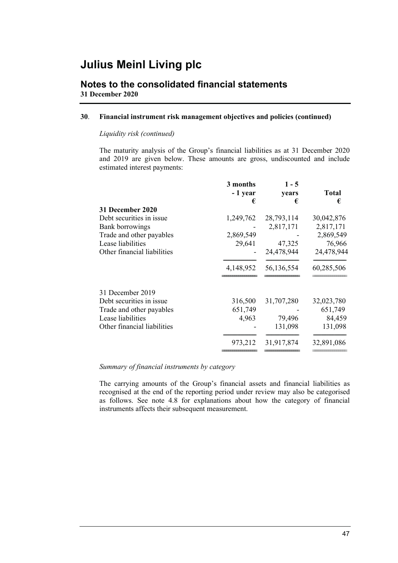# Notes to the consolidated financial statements 31 December 2020

### 30. Financial instrument risk management objectives and policies (continued)

#### *Liquidity risk (continued)*

The maturity analysis of the Group's financial liabilities as at 31 December 2020 and 2019 are given below. These amounts are gross, undiscounted and include estimated interest payments:

|                             | 3 months<br>- 1 year<br>€ | $1 - 5$<br>years<br>€ | <b>Total</b><br>€ |
|-----------------------------|---------------------------|-----------------------|-------------------|
| 31 December 2020            |                           |                       |                   |
| Debt securities in issue    | 1,249,762                 | 28,793,114            | 30,042,876        |
| <b>Bank borrowings</b>      |                           | 2,817,171             | 2,817,171         |
| Trade and other payables    | 2,869,549                 |                       | 2,869,549         |
| Lease liabilities           | 29,641                    | 47,325                | 76,966            |
| Other financial liabilities |                           | 24,478,944            | 24,478,944        |
|                             | 4,148,952                 | 56,136,554            | 60,285,506        |
| 31 December 2019            |                           |                       |                   |
| Debt securities in issue    | 316,500                   | 31,707,280            | 32,023,780        |
| Trade and other payables    | 651,749                   |                       | 651,749           |
| Lease liabilities           | 4,963                     | 79,496                | 84,459            |
| Other financial liabilities |                           | 131,098               | 131,098           |
|                             | 973,212                   | 31,917,874            | 32,891,086        |
|                             |                           |                       |                   |

#### *Summary of financial instruments by category*

The carrying amounts of the Group's financial assets and financial liabilities as recognised at the end of the reporting period under review may also be categorised as follows. See note 4.8 for explanations about how the category of financial instruments affects their subsequent measurement.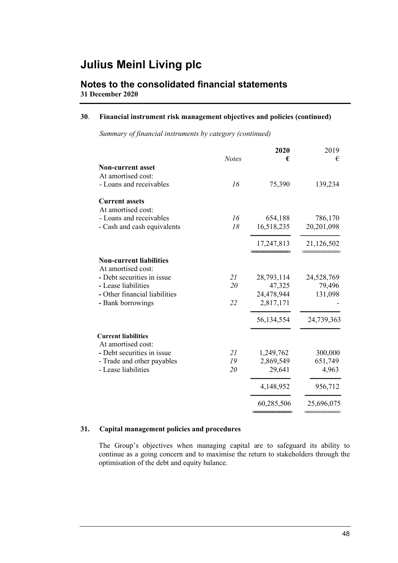# Notes to the consolidated financial statements 31 December 2020

### 30. Financial instrument risk management objectives and policies (continued)

 *Summary of financial instruments by category (continued)* 

|                                |              | 2020       | 2019       |
|--------------------------------|--------------|------------|------------|
|                                | <b>Notes</b> | €          | €          |
| <b>Non-current asset</b>       |              |            |            |
| At amortised cost:             |              |            |            |
| - Loans and receivables        | 16           | 75,390     | 139,234    |
| <b>Current assets</b>          |              |            |            |
| At amortised cost:             |              |            |            |
| - Loans and receivables        | 16           | 654,188    | 786,170    |
| - Cash and cash equivalents    | 18           | 16,518,235 | 20,201,098 |
|                                |              | 17,247,813 | 21,126,502 |
| <b>Non-current liabilities</b> |              |            |            |
| At amortised cost:             |              |            |            |
| - Debt securities in issue     | 21           | 28,793,114 | 24,528,769 |
| - Lease liabilities            | 20           | 47,325     | 79,496     |
| - Other financial liabilities  |              | 24,478,944 | 131,098    |
| - Bank borrowings              | 22           | 2,817,171  |            |
|                                |              | 56,134,554 | 24,739,363 |
| <b>Current liabilities</b>     |              |            |            |
| At amortised cost:             |              |            |            |
| - Debt securities in issue     | 21           | 1,249,762  | 300,000    |
| - Trade and other payables     | 19           | 2,869,549  | 651,749    |
| - Lease liabilities            | 20           | 29,641     | 4,963      |
|                                |              | 4,148,952  | 956,712    |
|                                |              | 60,285,506 | 25,696,075 |

## 31. Capital management policies and procedures

The Group's objectives when managing capital are to safeguard its ability to continue as a going concern and to maximise the return to stakeholders through the optimisation of the debt and equity balance.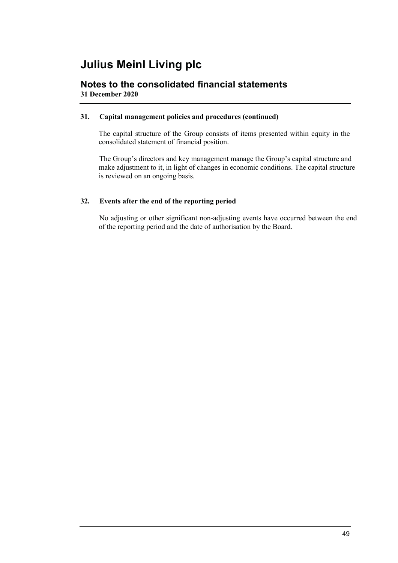# Notes to the consolidated financial statements 31 December 2020

## 31. Capital management policies and procedures (continued)

The capital structure of the Group consists of items presented within equity in the consolidated statement of financial position.

The Group's directors and key management manage the Group's capital structure and make adjustment to it, in light of changes in economic conditions. The capital structure is reviewed on an ongoing basis.

## 32. Events after the end of the reporting period

No adjusting or other significant non-adjusting events have occurred between the end of the reporting period and the date of authorisation by the Board.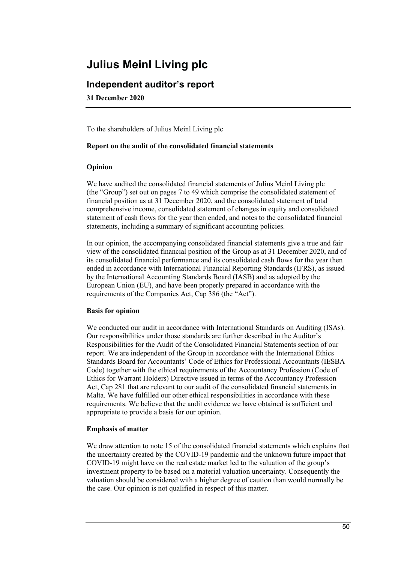# Independent auditor's report

## 31 December 2020

To the shareholders of Julius Meinl Living plc

### Report on the audit of the consolidated financial statements

### Opinion

We have audited the consolidated financial statements of Julius Meinl Living plc (the "Group") set out on pages 7 to 49 which comprise the consolidated statement of financial position as at 31 December 2020, and the consolidated statement of total comprehensive income, consolidated statement of changes in equity and consolidated statement of cash flows for the year then ended, and notes to the consolidated financial statements, including a summary of significant accounting policies.

In our opinion, the accompanying consolidated financial statements give a true and fair view of the consolidated financial position of the Group as at 31 December 2020, and of its consolidated financial performance and its consolidated cash flows for the year then ended in accordance with International Financial Reporting Standards (IFRS), as issued by the International Accounting Standards Board (IASB) and as adopted by the European Union (EU), and have been properly prepared in accordance with the requirements of the Companies Act, Cap 386 (the "Act").

### Basis for opinion

We conducted our audit in accordance with International Standards on Auditing (ISAs). Our responsibilities under those standards are further described in the Auditor's Responsibilities for the Audit of the Consolidated Financial Statements section of our report. We are independent of the Group in accordance with the International Ethics Standards Board for Accountants' Code of Ethics for Professional Accountants (IESBA Code) together with the ethical requirements of the Accountancy Profession (Code of Ethics for Warrant Holders) Directive issued in terms of the Accountancy Profession Act, Cap 281 that are relevant to our audit of the consolidated financial statements in Malta. We have fulfilled our other ethical responsibilities in accordance with these requirements. We believe that the audit evidence we have obtained is sufficient and appropriate to provide a basis for our opinion.

## Emphasis of matter

We draw attention to note 15 of the consolidated financial statements which explains that the uncertainty created by the COVID-19 pandemic and the unknown future impact that COVID-19 might have on the real estate market led to the valuation of the group's investment property to be based on a material valuation uncertainty. Consequently the valuation should be considered with a higher degree of caution than would normally be the case. Our opinion is not qualified in respect of this matter.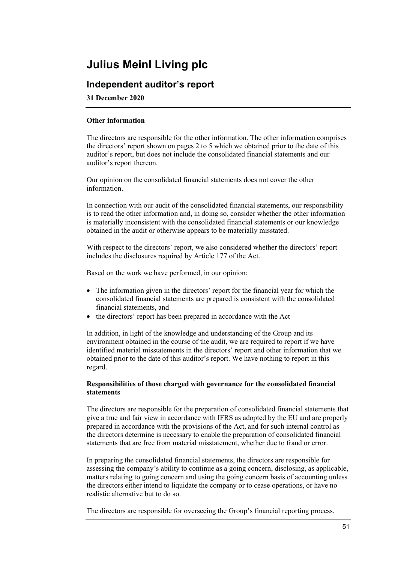# Independent auditor's report

## 31 December 2020

## Other information

The directors are responsible for the other information. The other information comprises the directors' report shown on pages 2 to 5 which we obtained prior to the date of this auditor's report, but does not include the consolidated financial statements and our auditor's report thereon.

Our opinion on the consolidated financial statements does not cover the other information.

In connection with our audit of the consolidated financial statements, our responsibility is to read the other information and, in doing so, consider whether the other information is materially inconsistent with the consolidated financial statements or our knowledge obtained in the audit or otherwise appears to be materially misstated.

With respect to the directors' report, we also considered whether the directors' report includes the disclosures required by Article 177 of the Act.

Based on the work we have performed, in our opinion:

- The information given in the directors' report for the financial year for which the consolidated financial statements are prepared is consistent with the consolidated financial statements, and
- the directors' report has been prepared in accordance with the Act

In addition, in light of the knowledge and understanding of the Group and its environment obtained in the course of the audit, we are required to report if we have identified material misstatements in the directors' report and other information that we obtained prior to the date of this auditor's report. We have nothing to report in this regard.

### Responsibilities of those charged with governance for the consolidated financial statements

The directors are responsible for the preparation of consolidated financial statements that give a true and fair view in accordance with IFRS as adopted by the EU and are properly prepared in accordance with the provisions of the Act, and for such internal control as the directors determine is necessary to enable the preparation of consolidated financial statements that are free from material misstatement, whether due to fraud or error.

In preparing the consolidated financial statements, the directors are responsible for assessing the company's ability to continue as a going concern, disclosing, as applicable, matters relating to going concern and using the going concern basis of accounting unless the directors either intend to liquidate the company or to cease operations, or have no realistic alternative but to do so.

The directors are responsible for overseeing the Group's financial reporting process.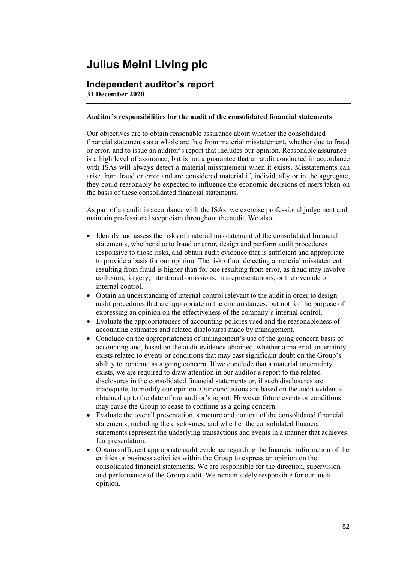# Independent auditor's report 31 December 2020

### Auditor's responsibilities for the audit of the consolidated financial statements

Our objectives are to obtain reasonable assurance about whether the consolidated financial statements as a whole are free from material misstatement, whether due to fraud or error, and to issue an auditor's report that includes our opinion. Reasonable assurance is a high level of assurance, but is not a guarantee that an audit conducted in accordance with ISAs will always detect a material misstatement when it exists. Misstatements can arise from fraud or error and are considered material if, individually or in the aggregate, they could reasonably be expected to influence the economic decisions of users taken on the basis of these consolidated financial statements.

As part of an audit in accordance with the ISAs, we exercise professional judgement and maintain professional scepticism throughout the audit. We also:

- Identify and assess the risks of material misstatement of the consolidated financial statements, whether due to fraud or error, design and perform audit procedures responsive to those risks, and obtain audit evidence that is sufficient and appropriate to provide a basis for our opinion. The risk of not detecting a material misstatement resulting from fraud is higher than for one resulting from error, as fraud may involve collusion, forgery, intentional omissions, misrepresentations, or the override of internal control.
- Obtain an understanding of internal control relevant to the audit in order to design audit procedures that are appropriate in the circumstances, but not for the purpose of expressing an opinion on the effectiveness of the company's internal control.
- Evaluate the appropriateness of accounting policies used and the reasonableness of accounting estimates and related disclosures made by management.
- Conclude on the appropriateness of management's use of the going concern basis of accounting and, based on the audit evidence obtained, whether a material uncertainty exists related to events or conditions that may cast significant doubt on the Group's ability to continue as a going concern. If we conclude that a material uncertainty exists, we are required to draw attention in our auditor's report to the related disclosures in the consolidated financial statements or, if such disclosures are inadequate, to modify our opinion. Our conclusions are based on the audit evidence obtained up to the date of our auditor's report. However future events or conditions may cause the Group to cease to continue as a going concern.
- Evaluate the overall presentation, structure and content of the consolidated financial statements, including the disclosures, and whether the consolidated financial statements represent the underlying transactions and events in a manner that achieves fair presentation.
- Obtain sufficient appropriate audit evidence regarding the financial information of the entities or business activities within the Group to express an opinion on the consolidated financial statements. We are responsible for the direction, supervision and performance of the Group audit. We remain solely responsible for our audit opinion.